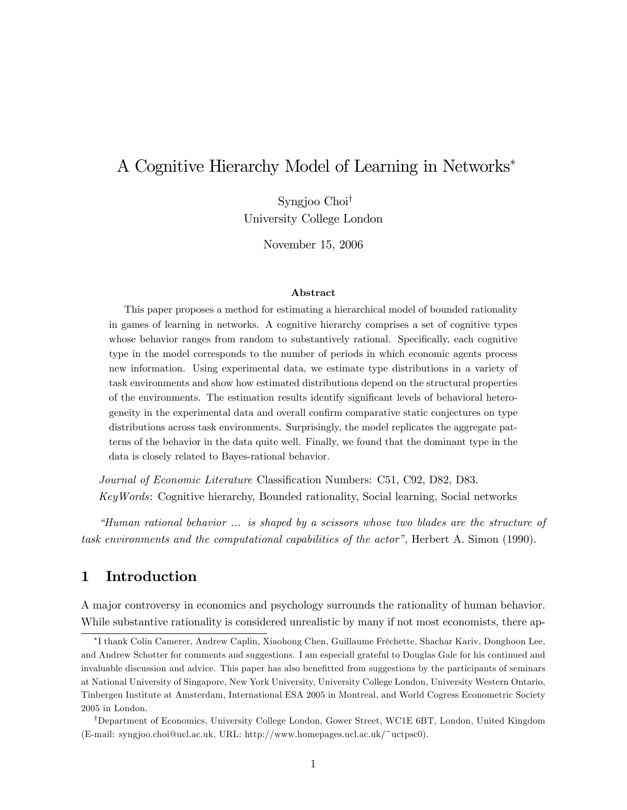### A Cognitive Hierarchy Model of Learning in Networks

Syngjoo Choi<sup>†</sup> University College London

November 15, 2006

### Abstract

This paper proposes a method for estimating a hierarchical model of bounded rationality in games of learning in networks. A cognitive hierarchy comprises a set of cognitive types whose behavior ranges from random to substantively rational. Specifically, each cognitive type in the model corresponds to the number of periods in which economic agents process new information. Using experimental data, we estimate type distributions in a variety of task environments and show how estimated distributions depend on the structural properties of the environments. The estimation results identify significant levels of behavioral heterogeneity in the experimental data and overall confirm comparative static conjectures on type distributions across task environments. Surprisingly, the model replicates the aggregate patterns of the behavior in the data quite well. Finally, we found that the dominant type in the data is closely related to Bayes-rational behavior.

Journal of Economic Literature Classification Numbers: C51, C92, D82, D83. KeyWords: Cognitive hierarchy, Bounded rationality, Social learning, Social networks

 $Human$  rational behavior  $\ldots$  is shaped by a scissors whose two blades are the structure of task environments and the computational capabilities of the actor", Herbert A. Simon (1990).

### 1 Introduction

A major controversy in economics and psychology surrounds the rationality of human behavior. While substantive rationality is considered unrealistic by many if not most economists, there ap-

I thank Colin Camerer, Andrew Caplin, Xiaohong Chen, Guillaume FrÈchette, Shachar Kariv, Donghoon Lee, and Andrew Schotter for comments and suggestions. I am especiall grateful to Douglas Gale for his continued and invaluable discussion and advice. This paper has also benefitted from suggestions by the participants of seminars at National University of Singapore, New York University, University College London, University Western Ontario, Tinbergen Institute at Amsterdam, International ESA 2005 in Montreal, and World Cogress Econometric Society 2005 in London.

<sup>&</sup>lt;sup>†</sup>Department of Economics, University College London, Gower Street, WC1E 6BT, London, United Kingdom (E-mail: syngjoo.choi@ucl.ac.uk, URL: http://www.homepages.ucl.ac.uk/~uctpsc0).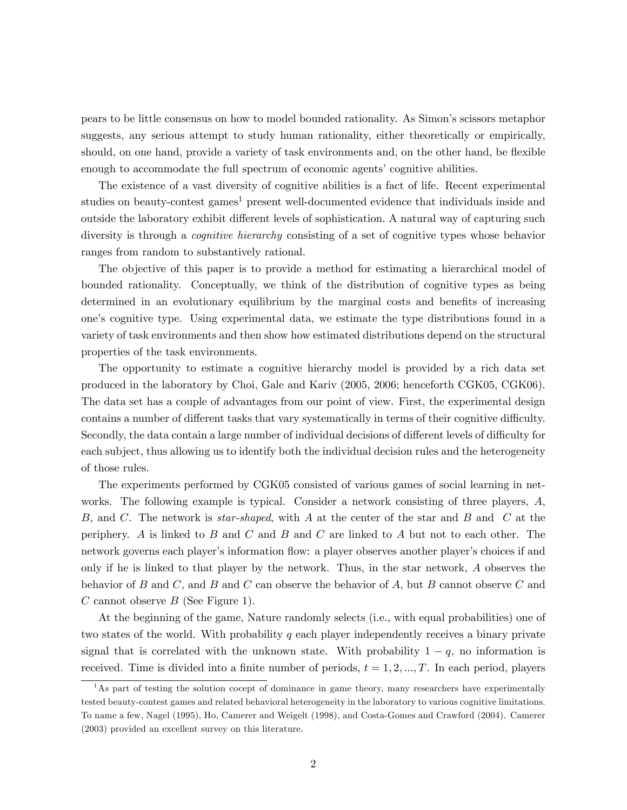pears to be little consensus on how to model bounded rationality. As Simonís scissors metaphor suggests, any serious attempt to study human rationality, either theoretically or empirically, should, on one hand, provide a variety of task environments and, on the other hand, be flexible enough to accommodate the full spectrum of economic agents' cognitive abilities.

The existence of a vast diversity of cognitive abilities is a fact of life. Recent experimental studies on beauty-contest games<sup>1</sup> present well-documented evidence that individuals inside and outside the laboratory exhibit different levels of sophistication. A natural way of capturing such diversity is through a *cognitive hierarchy* consisting of a set of cognitive types whose behavior ranges from random to substantively rational.

The objective of this paper is to provide a method for estimating a hierarchical model of bounded rationality. Conceptually, we think of the distribution of cognitive types as being determined in an evolutionary equilibrium by the marginal costs and benefits of increasing one's cognitive type. Using experimental data, we estimate the type distributions found in a variety of task environments and then show how estimated distributions depend on the structural properties of the task environments.

The opportunity to estimate a cognitive hierarchy model is provided by a rich data set produced in the laboratory by Choi, Gale and Kariv (2005, 2006; henceforth CGK05, CGK06). The data set has a couple of advantages from our point of view. First, the experimental design contains a number of different tasks that vary systematically in terms of their cognitive difficulty. Secondly, the data contain a large number of individual decisions of different levels of difficulty for each subject, thus allowing us to identify both the individual decision rules and the heterogeneity of those rules.

The experiments performed by CGK05 consisted of various games of social learning in networks. The following example is typical. Consider a network consisting of three players, A, B, and C. The network is *star-shaped*, with A at the center of the star and B and C at the periphery. A is linked to  $B$  and  $C$  and  $B$  and  $C$  are linked to  $A$  but not to each other. The network governs each player's information flow: a player observes another player's choices if and only if he is linked to that player by the network. Thus, in the star network, A observes the behavior of B and C, and B and C can observe the behavior of A, but B cannot observe C and  $C$  cannot observe  $B$  (See Figure 1).

At the beginning of the game, Nature randomly selects (i.e., with equal probabilities) one of two states of the world. With probability  $q$  each player independently receives a binary private signal that is correlated with the unknown state. With probability  $1 - q$ , no information is received. Time is divided into a finite number of periods,  $t = 1, 2, ..., T$ . In each period, players

<sup>&</sup>lt;sup>1</sup>As part of testing the solution cocept of dominance in game theory, many researchers have experimentally tested beauty-contest games and related behavioral heterogeneity in the laboratory to various cognitive limitations. To name a few, Nagel (1995), Ho, Camerer and Weigelt (1998), and Costa-Gomes and Crawford (2004). Camerer (2003) provided an excellent survey on this literature.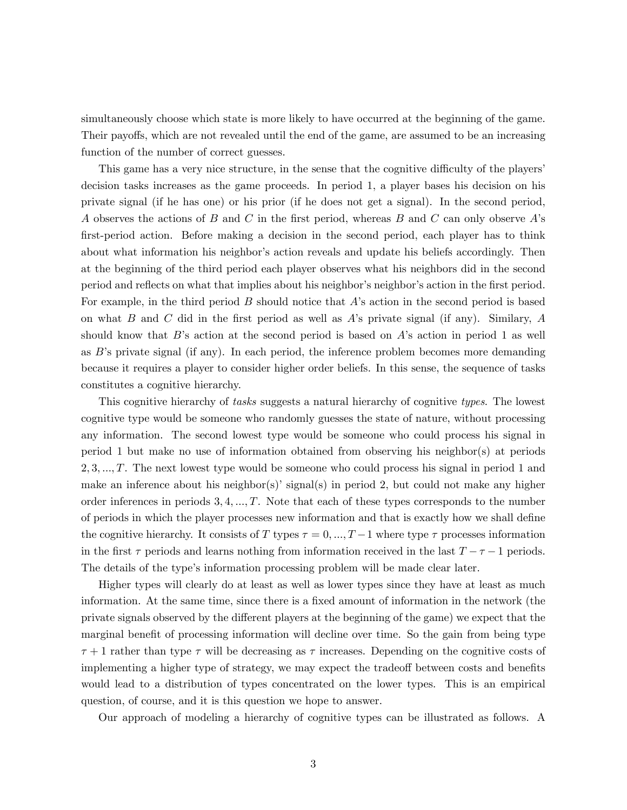simultaneously choose which state is more likely to have occurred at the beginning of the game. Their payoffs, which are not revealed until the end of the game, are assumed to be an increasing function of the number of correct guesses.

This game has a very nice structure, in the sense that the cognitive difficulty of the players' decision tasks increases as the game proceeds. In period 1, a player bases his decision on his private signal (if he has one) or his prior (if he does not get a signal). In the second period, A observes the actions of B and C in the first period, whereas B and C can only observe  $A$ 's first-period action. Before making a decision in the second period, each player has to think about what information his neighbor's action reveals and update his beliefs accordingly. Then at the beginning of the third period each player observes what his neighbors did in the second period and reflects on what that implies about his neighbor's neighbor's action in the first period. For example, in the third period  $B$  should notice that  $A$ 's action in the second period is based on what B and C did in the first period as well as  $A$ 's private signal (if any). Similary, A should know that  $B$ 's action at the second period is based on  $A$ 's action in period 1 as well as  $B$ 's private signal (if any). In each period, the inference problem becomes more demanding because it requires a player to consider higher order beliefs. In this sense, the sequence of tasks constitutes a cognitive hierarchy.

This cognitive hierarchy of tasks suggests a natural hierarchy of cognitive types. The lowest cognitive type would be someone who randomly guesses the state of nature, without processing any information. The second lowest type would be someone who could process his signal in period 1 but make no use of information obtained from observing his neighbor(s) at periods  $2, 3, \ldots, T$ . The next lowest type would be someone who could process his signal in period 1 and make an inference about his neighbor(s) signal(s) in period 2, but could not make any higher order inferences in periods  $3, 4, ..., T$ . Note that each of these types corresponds to the number of periods in which the player processes new information and that is exactly how we shall define the cognitive hierarchy. It consists of T types  $\tau = 0, ..., T-1$  where type  $\tau$  processes information in the first  $\tau$  periods and learns nothing from information received in the last  $T - \tau - 1$  periods. The details of the type's information processing problem will be made clear later.

Higher types will clearly do at least as well as lower types since they have at least as much information. At the same time, since there is a fixed amount of information in the network (the private signals observed by the different players at the beginning of the game) we expect that the marginal benefit of processing information will decline over time. So the gain from being type  $\tau + 1$  rather than type  $\tau$  will be decreasing as  $\tau$  increases. Depending on the cognitive costs of implementing a higher type of strategy, we may expect the tradeoff between costs and benefits would lead to a distribution of types concentrated on the lower types. This is an empirical question, of course, and it is this question we hope to answer.

Our approach of modeling a hierarchy of cognitive types can be illustrated as follows. A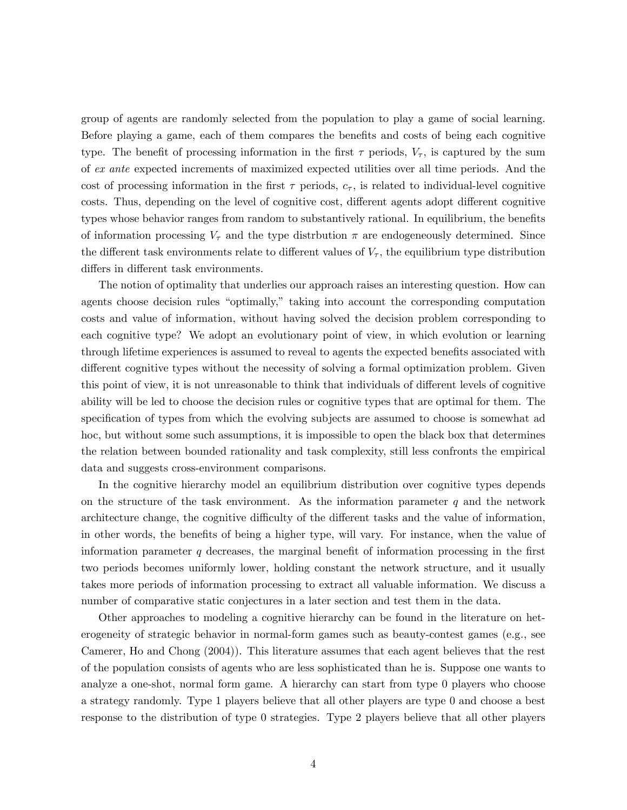group of agents are randomly selected from the population to play a game of social learning. Before playing a game, each of them compares the benefits and costs of being each cognitive type. The benefit of processing information in the first  $\tau$  periods,  $V_{\tau}$ , is captured by the sum of ex ante expected increments of maximized expected utilities over all time periods. And the cost of processing information in the first  $\tau$  periods,  $c_{\tau}$ , is related to individual-level cognitive costs. Thus, depending on the level of cognitive cost, different agents adopt different cognitive types whose behavior ranges from random to substantively rational. In equilibrium, the benefits of information processing  $V_{\tau}$  and the type distribution  $\pi$  are endogeneously determined. Since the different task environments relate to different values of  $V_{\tau}$ , the equilibrium type distribution differs in different task environments.

The notion of optimality that underlies our approach raises an interesting question. How can agents choose decision rules "optimally," taking into account the corresponding computation costs and value of information, without having solved the decision problem corresponding to each cognitive type? We adopt an evolutionary point of view, in which evolution or learning through lifetime experiences is assumed to reveal to agents the expected benefits associated with different cognitive types without the necessity of solving a formal optimization problem. Given this point of view, it is not unreasonable to think that individuals of different levels of cognitive ability will be led to choose the decision rules or cognitive types that are optimal for them. The specification of types from which the evolving subjects are assumed to choose is somewhat ad hoc, but without some such assumptions, it is impossible to open the black box that determines the relation between bounded rationality and task complexity, still less confronts the empirical data and suggests cross-environment comparisons.

In the cognitive hierarchy model an equilibrium distribution over cognitive types depends on the structure of the task environment. As the information parameter  $q$  and the network architecture change, the cognitive difficulty of the different tasks and the value of information, in other words, the benefits of being a higher type, will vary. For instance, when the value of information parameter  $q$  decreases, the marginal benefit of information processing in the first two periods becomes uniformly lower, holding constant the network structure, and it usually takes more periods of information processing to extract all valuable information. We discuss a number of comparative static conjectures in a later section and test them in the data.

Other approaches to modeling a cognitive hierarchy can be found in the literature on heterogeneity of strategic behavior in normal-form games such as beauty-contest games (e.g., see Camerer, Ho and Chong (2004)). This literature assumes that each agent believes that the rest of the population consists of agents who are less sophisticated than he is. Suppose one wants to analyze a one-shot, normal form game. A hierarchy can start from type 0 players who choose a strategy randomly. Type 1 players believe that all other players are type 0 and choose a best response to the distribution of type 0 strategies. Type 2 players believe that all other players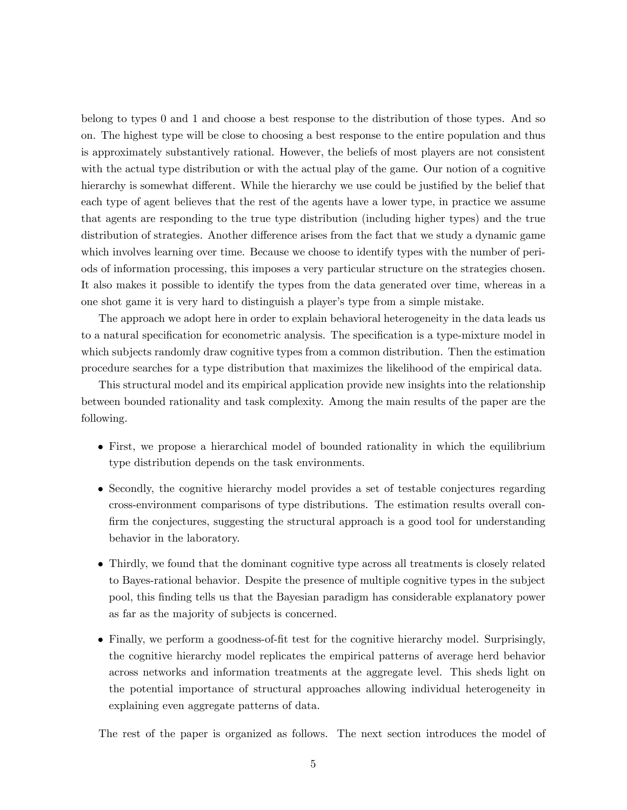belong to types 0 and 1 and choose a best response to the distribution of those types. And so on. The highest type will be close to choosing a best response to the entire population and thus is approximately substantively rational. However, the beliefs of most players are not consistent with the actual type distribution or with the actual play of the game. Our notion of a cognitive hierarchy is somewhat different. While the hierarchy we use could be justified by the belief that each type of agent believes that the rest of the agents have a lower type, in practice we assume that agents are responding to the true type distribution (including higher types) and the true distribution of strategies. Another difference arises from the fact that we study a dynamic game which involves learning over time. Because we choose to identify types with the number of periods of information processing, this imposes a very particular structure on the strategies chosen. It also makes it possible to identify the types from the data generated over time, whereas in a one shot game it is very hard to distinguish a playerís type from a simple mistake.

The approach we adopt here in order to explain behavioral heterogeneity in the data leads us to a natural specification for econometric analysis. The specification is a type-mixture model in which subjects randomly draw cognitive types from a common distribution. Then the estimation procedure searches for a type distribution that maximizes the likelihood of the empirical data.

This structural model and its empirical application provide new insights into the relationship between bounded rationality and task complexity. Among the main results of the paper are the following.

- First, we propose a hierarchical model of bounded rationality in which the equilibrium type distribution depends on the task environments.
- Secondly, the cognitive hierarchy model provides a set of testable conjectures regarding cross-environment comparisons of type distributions. The estimation results overall confirm the conjectures, suggesting the structural approach is a good tool for understanding behavior in the laboratory.
- Thirdly, we found that the dominant cognitive type across all treatments is closely related to Bayes-rational behavior. Despite the presence of multiple cognitive types in the subject pool, this Önding tells us that the Bayesian paradigm has considerable explanatory power as far as the majority of subjects is concerned.
- Finally, we perform a goodness-of-fit test for the cognitive hierarchy model. Surprisingly, the cognitive hierarchy model replicates the empirical patterns of average herd behavior across networks and information treatments at the aggregate level. This sheds light on the potential importance of structural approaches allowing individual heterogeneity in explaining even aggregate patterns of data.

The rest of the paper is organized as follows. The next section introduces the model of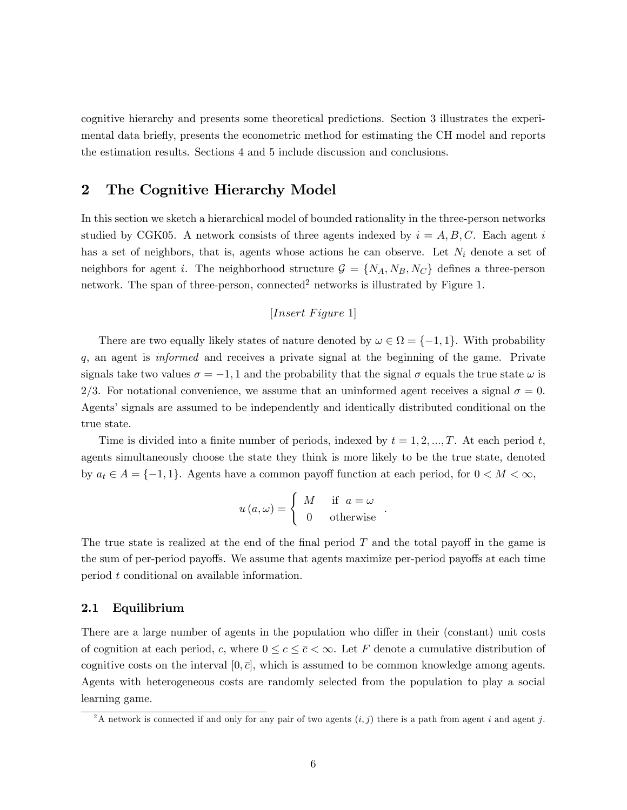cognitive hierarchy and presents some theoretical predictions. Section 3 illustrates the experimental data brieáy, presents the econometric method for estimating the CH model and reports the estimation results. Sections 4 and 5 include discussion and conclusions.

### 2 The Cognitive Hierarchy Model

In this section we sketch a hierarchical model of bounded rationality in the three-person networks studied by CGK05. A network consists of three agents indexed by  $i = A, B, C$ . Each agent i has a set of neighbors, that is, agents whose actions he can observe. Let  $N_i$  denote a set of neighbors for agent i. The neighborhood structure  $\mathcal{G} = \{N_A, N_B, N_C\}$  defines a three-person network. The span of three-person, connected<sup>2</sup> networks is illustrated by Figure 1.

### $[Insert \, Figure \, 1]$

There are two equally likely states of nature denoted by  $\omega \in \Omega = \{-1, 1\}$ . With probability q, an agent is informed and receives a private signal at the beginning of the game. Private signals take two values  $\sigma = -1$ , 1 and the probability that the signal  $\sigma$  equals the true state  $\omega$  is 2/3. For notational convenience, we assume that an uninformed agent receives a signal  $\sigma = 0$ . Agents' signals are assumed to be independently and identically distributed conditional on the true state.

Time is divided into a finite number of periods, indexed by  $t = 1, 2, ..., T$ . At each period t, agents simultaneously choose the state they think is more likely to be the true state, denoted by  $a_t \in A = \{-1, 1\}$ . Agents have a common payoff function at each period, for  $0 < M < \infty$ ,

$$
u(a,\omega) = \begin{cases} M & \text{if } a = \omega \\ 0 & \text{otherwise} \end{cases}
$$

.

The true state is realized at the end of the final period  $T$  and the total payoff in the game is the sum of per-period payoffs. We assume that agents maximize per-period payoffs at each time period t conditional on available information.

### 2.1 Equilibrium

There are a large number of agents in the population who differ in their (constant) unit costs of cognition at each period, c, where  $0 \leq c \leq \overline{c} < \infty$ . Let F denote a cumulative distribution of cognitive costs on the interval  $[0, \bar{c}]$ , which is assumed to be common knowledge among agents. Agents with heterogeneous costs are randomly selected from the population to play a social learning game.

<sup>&</sup>lt;sup>2</sup>A network is connected if and only for any pair of two agents  $(i, j)$  there is a path from agent i and agent j.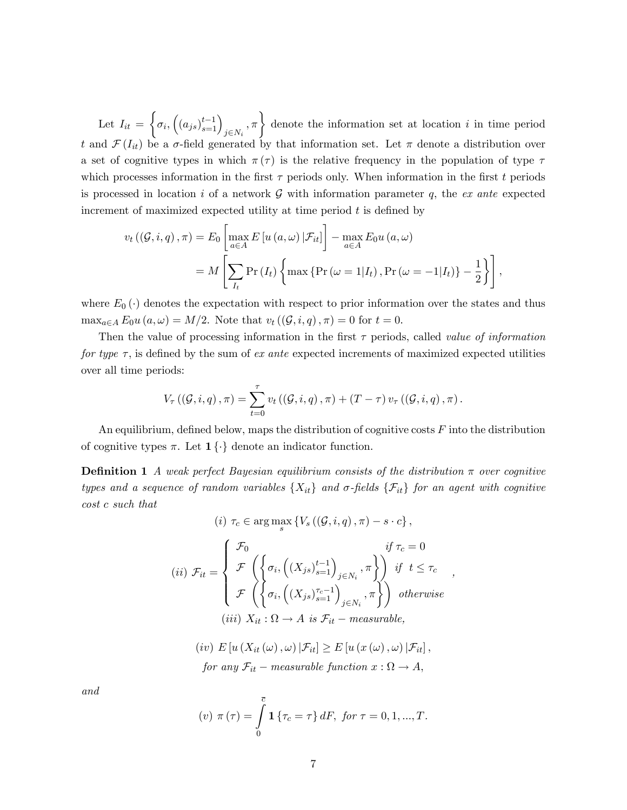Let  $I_{it} =$  $\sqrt{ }$  $\sigma_i, \left( (a_{js})_{s=1}^{t-1} \right)_{j \in N_i}$  $\{\pi,\pi\}$  denote the information set at location i in time period t and  $\mathcal{F}(I_{it})$  be a  $\sigma$ -field generated by that information set. Let  $\pi$  denote a distribution over a set of cognitive types in which  $\pi(\tau)$  is the relative frequency in the population of type  $\tau$ which processes information in the first  $\tau$  periods only. When information in the first t periods is processed in location i of a network  $\mathcal G$  with information parameter  $q$ , the ex ante expected increment of maximized expected utility at time period  $t$  is defined by

$$
v_t\left(\left(\mathcal{G}, i, q\right), \pi\right) = E_0\left[\max_{a \in A} E\left[u\left(a, \omega\right) | \mathcal{F}_{it}\right]\right] - \max_{a \in A} E_0 u\left(a, \omega\right)
$$

$$
= M\left[\sum_{I_t} \Pr\left(I_t\right) \left\{\max \left\{\Pr\left(\omega = 1 | I_t\right), \Pr\left(\omega = -1 | I_t\right)\right\} - \frac{1}{2}\right\}\right],
$$

where  $E_0(\cdot)$  denotes the expectation with respect to prior information over the states and thus  $\max_{a\in A} E_0u(a,\omega) = M/2.$  Note that  $v_t((\mathcal{G},i,q),\pi) = 0$  for  $t = 0$ .

Then the value of processing information in the first  $\tau$  periods, called value of information for type  $\tau$ , is defined by the sum of ex ante expected increments of maximized expected utilities over all time periods:

$$
V_{\tau}\left(\left(\mathcal{G},i,q\right),\pi\right)=\sum_{t=0}^{\tau}v_{t}\left(\left(\mathcal{G},i,q\right),\pi\right)+\left(T-\tau\right)v_{\tau}\left(\left(\mathcal{G},i,q\right),\pi\right).
$$

An equilibrium, defined below, maps the distribution of cognitive costs  $F$  into the distribution of cognitive types  $\pi$ . Let  $1\{\cdot\}$  denote an indicator function.

**Definition 1** A weak perfect Bayesian equilibrium consists of the distribution  $\pi$  over cognitive types and a sequence of random variables  $\{X_{it}\}\$  and  $\sigma$ -fields  $\{\mathcal{F}_{it}\}\$  for an agent with cognitive cost c such that

$$
(i) \ \mathcal{T}_c \in \arg \max_{s} \{ V_s \left( (\mathcal{G}, i, q) \right), \pi \} - s \cdot c \},
$$
\n
$$
(ii) \ \mathcal{F}_{it} = \begin{cases} \mathcal{F}_0 & \text{if } \tau_c = 0 \\ \mathcal{F} \left( \begin{cases} \sigma_i, \left( (X_{js})_{s=1}^{t-1} \right)_{j \in N_i}, \pi \right) \\ \sigma_i, \left( (X_{js})_{s=1}^{T_c - 1} \right)_{j \in N_i}, \pi \end{cases} \right) & \text{otherwise} \end{cases}
$$
\n
$$
(iii) \ X_{it} : \Omega \to A \ \text{is } \mathcal{F}_{it} - measurable,
$$

,

$$
(iv) \ E[u(X_{it}(\omega), \omega)|\mathcal{F}_{it}] \ge E[u(x(\omega), \omega)|\mathcal{F}_{it}],
$$
  
for any  $\mathcal{F}_{it}$  – measurable function  $x : \Omega \to A$ ,

and

$$
(v) \ \pi(\tau) = \int_{0}^{\overline{c}} \mathbf{1} \left\{ \tau_c = \tau \right\} dF, \text{ for } \tau = 0, 1, ..., T.
$$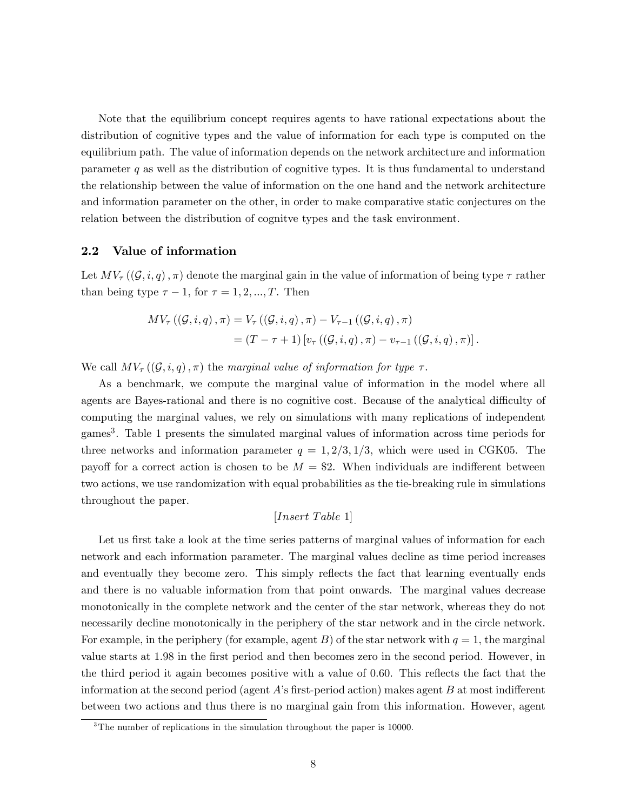Note that the equilibrium concept requires agents to have rational expectations about the distribution of cognitive types and the value of information for each type is computed on the equilibrium path. The value of information depends on the network architecture and information parameter  $q$  as well as the distribution of cognitive types. It is thus fundamental to understand the relationship between the value of information on the one hand and the network architecture and information parameter on the other, in order to make comparative static conjectures on the relation between the distribution of cognitve types and the task environment.

### 2.2 Value of information

Let  $MV_{\tau}((\mathcal{G}, i, q), \pi)$  denote the marginal gain in the value of information of being type  $\tau$  rather than being type  $\tau - 1$ , for  $\tau = 1, 2, ..., T$ . Then

$$
MV_{\tau}((\mathcal{G}, i, q), \pi) = V_{\tau}((\mathcal{G}, i, q), \pi) - V_{\tau-1}((\mathcal{G}, i, q), \pi)
$$
  
=  $(T - \tau + 1) [v_{\tau}((\mathcal{G}, i, q), \pi) - v_{\tau-1}((\mathcal{G}, i, q), \pi)].$ 

We call  $MV_{\tau}((\mathcal{G}, i, q), \pi)$  the marginal value of information for type  $\tau$ .

As a benchmark, we compute the marginal value of information in the model where all agents are Bayes-rational and there is no cognitive cost. Because of the analytical difficulty of computing the marginal values, we rely on simulations with many replications of independent games<sup>3</sup>. Table 1 presents the simulated marginal values of information across time periods for three networks and information parameter  $q = 1, 2/3, 1/3$ , which were used in CGK05. The payoff for a correct action is chosen to be  $M = $2$ . When individuals are indifferent between two actions, we use randomization with equal probabilities as the tie-breaking rule in simulations throughout the paper.

### $[Insert\ Table\ 1]$

Let us first take a look at the time series patterns of marginal values of information for each network and each information parameter. The marginal values decline as time period increases and eventually they become zero. This simply reflects the fact that learning eventually ends and there is no valuable information from that point onwards. The marginal values decrease monotonically in the complete network and the center of the star network, whereas they do not necessarily decline monotonically in the periphery of the star network and in the circle network. For example, in the periphery (for example, agent B) of the star network with  $q = 1$ , the marginal value starts at 1.98 in the first period and then becomes zero in the second period. However, in the third period it again becomes positive with a value of  $0.60$ . This reflects the fact that the information at the second period (agent A's first-period action) makes agent B at most indifferent between two actions and thus there is no marginal gain from this information. However, agent

 $\overline{3}$ The number of replications in the simulation throughout the paper is 10000.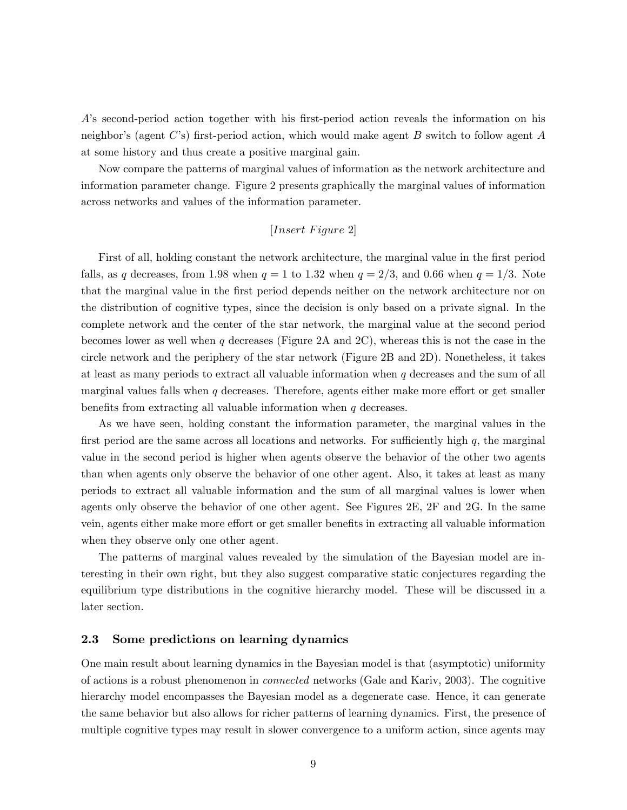A's second-period action together with his first-period action reveals the information on his neighbor's (agent  $C$ 's) first-period action, which would make agent B switch to follow agent A at some history and thus create a positive marginal gain.

Now compare the patterns of marginal values of information as the network architecture and information parameter change. Figure 2 presents graphically the marginal values of information across networks and values of the information parameter.

### $[Insert \, Figure \, 2]$

First of all, holding constant the network architecture, the marginal value in the first period falls, as q decreases, from 1.98 when  $q = 1$  to 1.32 when  $q = 2/3$ , and 0.66 when  $q = 1/3$ . Note that the marginal value in the Örst period depends neither on the network architecture nor on the distribution of cognitive types, since the decision is only based on a private signal. In the complete network and the center of the star network, the marginal value at the second period becomes lower as well when q decreases (Figure 2A and 2C), whereas this is not the case in the circle network and the periphery of the star network (Figure 2B and 2D). Nonetheless, it takes at least as many periods to extract all valuable information when q decreases and the sum of all marginal values falls when  $q$  decreases. Therefore, agents either make more effort or get smaller benefits from extracting all valuable information when  $q$  decreases.

As we have seen, holding constant the information parameter, the marginal values in the first period are the same across all locations and networks. For sufficiently high  $q$ , the marginal value in the second period is higher when agents observe the behavior of the other two agents than when agents only observe the behavior of one other agent. Also, it takes at least as many periods to extract all valuable information and the sum of all marginal values is lower when agents only observe the behavior of one other agent. See Figures 2E, 2F and 2G. In the same vein, agents either make more effort or get smaller benefits in extracting all valuable information when they observe only one other agent.

The patterns of marginal values revealed by the simulation of the Bayesian model are interesting in their own right, but they also suggest comparative static conjectures regarding the equilibrium type distributions in the cognitive hierarchy model. These will be discussed in a later section.

### 2.3 Some predictions on learning dynamics

One main result about learning dynamics in the Bayesian model is that (asymptotic) uniformity of actions is a robust phenomenon in connected networks (Gale and Kariv, 2003). The cognitive hierarchy model encompasses the Bayesian model as a degenerate case. Hence, it can generate the same behavior but also allows for richer patterns of learning dynamics. First, the presence of multiple cognitive types may result in slower convergence to a uniform action, since agents may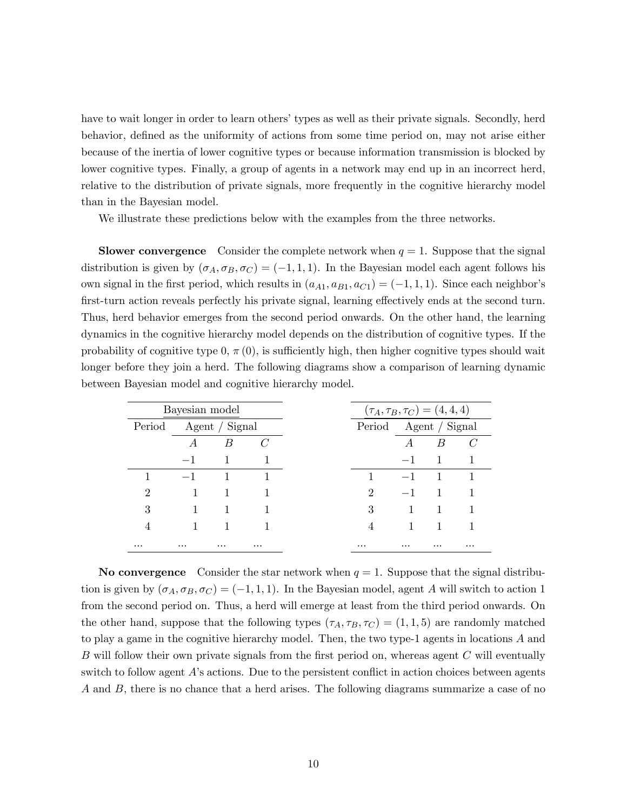have to wait longer in order to learn others' types as well as their private signals. Secondly, herd behavior, defined as the uniformity of actions from some time period on, may not arise either because of the inertia of lower cognitive types or because information transmission is blocked by lower cognitive types. Finally, a group of agents in a network may end up in an incorrect herd, relative to the distribution of private signals, more frequently in the cognitive hierarchy model than in the Bayesian model.

We illustrate these predictions below with the examples from the three networks.

**Slower convergence** Consider the complete network when  $q = 1$ . Suppose that the signal distribution is given by  $(\sigma_A, \sigma_B, \sigma_C) = (-1, 1, 1)$ . In the Bayesian model each agent follows his own signal in the first period, which results in  $(a_{A1}, a_{B1}, a_{C1}) = (-1, 1, 1)$ . Since each neighbor's first-turn action reveals perfectly his private signal, learning effectively ends at the second turn. Thus, herd behavior emerges from the second period onwards. On the other hand, the learning dynamics in the cognitive hierarchy model depends on the distribution of cognitive types. If the probability of cognitive type  $0, \pi(0)$ , is sufficiently high, then higher cognitive types should wait longer before they join a herd. The following diagrams show a comparison of learning dynamic between Bayesian model and cognitive hierarchy model.

|                       | Bayesian model |          |               |
|-----------------------|----------------|----------|---------------|
| Period Agent / Signal |                |          |               |
|                       | A              | B        | $\mathcal{C}$ |
|                       |                |          |               |
| 1                     |                |          |               |
|                       |                |          |               |
| 3                     |                |          |               |
|                       |                |          |               |
| $\cdots$              | $\cdots$       | $\cdots$ | $\cdots$      |

No convergence Consider the star network when  $q = 1$ . Suppose that the signal distribution is given by  $(\sigma_A, \sigma_B, \sigma_C) = (-1, 1, 1)$ . In the Bayesian model, agent A will switch to action 1 from the second period on. Thus, a herd will emerge at least from the third period onwards. On the other hand, suppose that the following types  $(\tau_A, \tau_B, \tau_C) = (1, 1, 5)$  are randomly matched to play a game in the cognitive hierarchy model. Then, the two type-1 agents in locations A and B will follow their own private signals from the first period on, whereas agent C will eventually switch to follow agent  $A$ 's actions. Due to the persistent conflict in action choices between agents A and B, there is no chance that a herd arises. The following diagrams summarize a case of no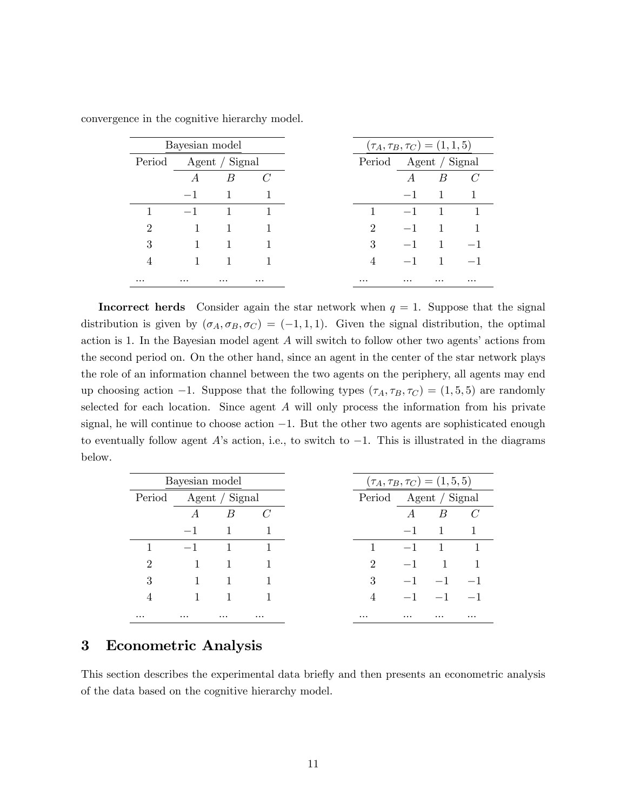|          | Bayesian model |                  |                |                             |                | $(\tau_A, \tau_B, \tau_C) = (1, 1, 5)$ |          |
|----------|----------------|------------------|----------------|-----------------------------|----------------|----------------------------------------|----------|
| Period   |                | Agent / Signal   |                | Period Agent / Signal       |                |                                        |          |
|          | A              | $\boldsymbol{B}$ | $\overline{C}$ |                             | $\overline{A}$ | B                                      |          |
|          |                |                  |                |                             |                |                                        |          |
|          | $-1$           |                  |                |                             | $-1$           |                                        |          |
| 9        |                |                  |                | $\mathcal{D}_{\mathcal{L}}$ | $-1$           |                                        |          |
| 3        |                |                  |                | 3                           |                |                                        |          |
|          |                |                  |                | 4                           | $-1$           | 1.                                     |          |
| $\cdots$ | $\cdots$       | $\cdots$         | $\cdots$       |                             | $\cdots$       | $\cdots$                               | $\cdots$ |

convergence in the cognitive hierarchy model.

**Incorrect herds** Consider again the star network when  $q = 1$ . Suppose that the signal distribution is given by  $(\sigma_A, \sigma_B, \sigma_C) = (-1, 1, 1)$ . Given the signal distribution, the optimal action is 1. In the Bayesian model agent  $A$  will switch to follow other two agents' actions from the second period on. On the other hand, since an agent in the center of the star network plays the role of an information channel between the two agents on the periphery, all agents may end up choosing action  $-1$ . Suppose that the following types  $(\tau_A, \tau_B, \tau_C) = (1, 5, 5)$  are randomly selected for each location. Since agent  $A$  will only process the information from his private signal, he will continue to choose action  $-1$ . But the other two agents are sophisticated enough to eventually follow agent A's action, i.e., to switch to  $-1$ . This is illustrated in the diagrams below.

|        | Bayesian model |                |                |
|--------|----------------|----------------|----------------|
| Period | Agent / Signal |                |                |
|        | $\overline{A}$ | $\overline{B}$ | $\overline{C}$ |
|        | $-1$           |                |                |
|        | $-1$           |                |                |
| 2      |                |                |                |
| 3      |                |                |                |
|        |                |                |                |
| .      | $\ddotsc$      | $\cdots$       | $\cdots$       |

### 3 Econometric Analysis

This section describes the experimental data briefly and then presents an econometric analysis of the data based on the cognitive hierarchy model.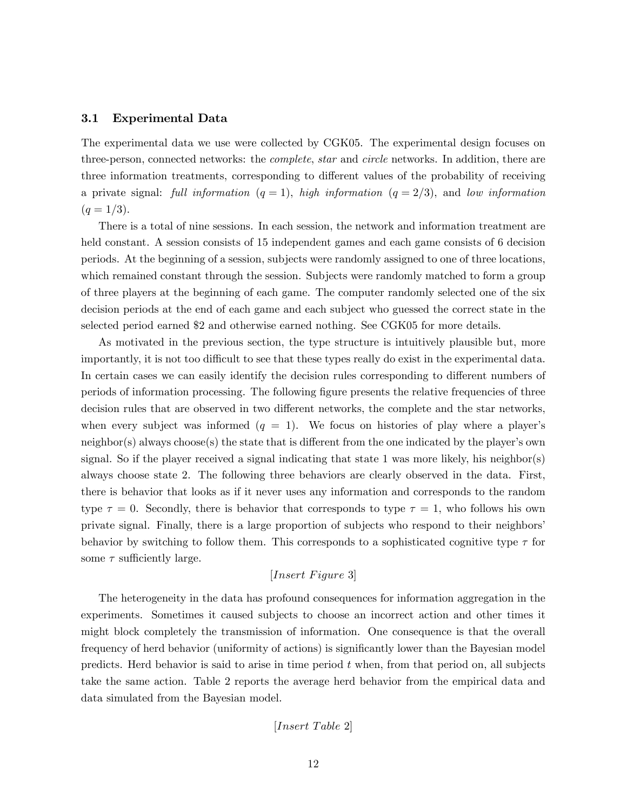### 3.1 Experimental Data

The experimental data we use were collected by CGK05. The experimental design focuses on three-person, connected networks: the *complete, star* and *circle* networks. In addition, there are three information treatments, corresponding to different values of the probability of receiving a private signal: full information  $(q = 1)$ , high information  $(q = 2/3)$ , and low information  $(q=1/3).$ 

There is a total of nine sessions. In each session, the network and information treatment are held constant. A session consists of 15 independent games and each game consists of 6 decision periods. At the beginning of a session, subjects were randomly assigned to one of three locations, which remained constant through the session. Subjects were randomly matched to form a group of three players at the beginning of each game. The computer randomly selected one of the six decision periods at the end of each game and each subject who guessed the correct state in the selected period earned \$2 and otherwise earned nothing. See CGK05 for more details.

As motivated in the previous section, the type structure is intuitively plausible but, more importantly, it is not too difficult to see that these types really do exist in the experimental data. In certain cases we can easily identify the decision rules corresponding to different numbers of periods of information processing. The following figure presents the relative frequencies of three decision rules that are observed in two different networks, the complete and the star networks, when every subject was informed  $(q = 1)$ . We focus on histories of play where a player's neighbor(s) always choose(s) the state that is different from the one indicated by the player's own signal. So if the player received a signal indicating that state 1 was more likely, his neighbor(s) always choose state 2. The following three behaviors are clearly observed in the data. First, there is behavior that looks as if it never uses any information and corresponds to the random type  $\tau = 0$ . Secondly, there is behavior that corresponds to type  $\tau = 1$ , who follows his own private signal. Finally, there is a large proportion of subjects who respond to their neighborsí behavior by switching to follow them. This corresponds to a sophisticated cognitive type  $\tau$  for some  $\tau$  sufficiently large.

### $[Insert \, Figure \, 3]$

The heterogeneity in the data has profound consequences for information aggregation in the experiments. Sometimes it caused subjects to choose an incorrect action and other times it might block completely the transmission of information. One consequence is that the overall frequency of herd behavior (uniformity of actions) is significantly lower than the Bayesian model predicts. Herd behavior is said to arise in time period  $t$  when, from that period on, all subjects take the same action. Table 2 reports the average herd behavior from the empirical data and data simulated from the Bayesian model.

### $[Insert\ Table\ 2]$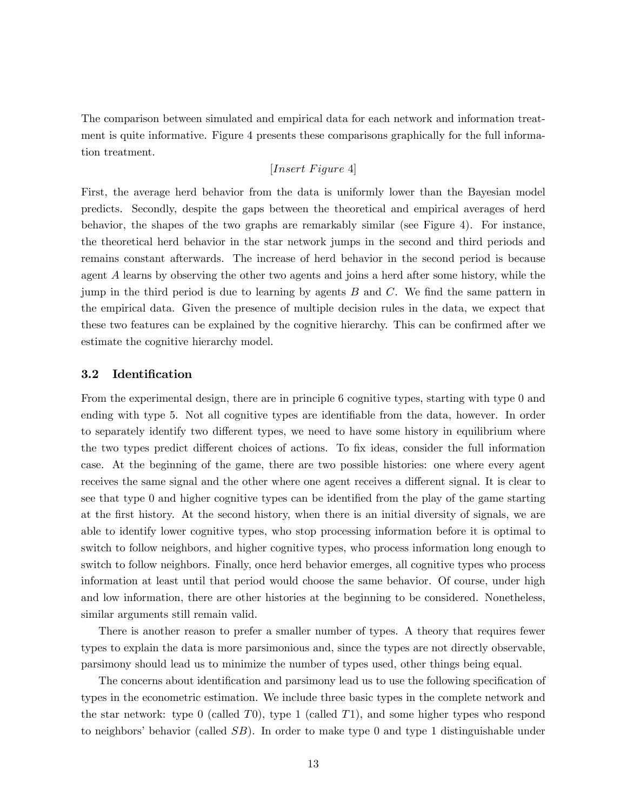The comparison between simulated and empirical data for each network and information treatment is quite informative. Figure 4 presents these comparisons graphically for the full information treatment.

### $[Insert \ Figure \ 4]$

First, the average herd behavior from the data is uniformly lower than the Bayesian model predicts. Secondly, despite the gaps between the theoretical and empirical averages of herd behavior, the shapes of the two graphs are remarkably similar (see Figure 4). For instance, the theoretical herd behavior in the star network jumps in the second and third periods and remains constant afterwards. The increase of herd behavior in the second period is because agent A learns by observing the other two agents and joins a herd after some history, while the jump in the third period is due to learning by agents  $B$  and  $C$ . We find the same pattern in the empirical data. Given the presence of multiple decision rules in the data, we expect that these two features can be explained by the cognitive hierarchy. This can be confirmed after we estimate the cognitive hierarchy model.

### 3.2 Identification

From the experimental design, there are in principle 6 cognitive types, starting with type 0 and ending with type 5. Not all cognitive types are identifiable from the data, however. In order to separately identify two different types, we need to have some history in equilibrium where the two types predict different choices of actions. To fix ideas, consider the full information case. At the beginning of the game, there are two possible histories: one where every agent receives the same signal and the other where one agent receives a different signal. It is clear to see that type  $\theta$  and higher cognitive types can be identified from the play of the game starting at the Örst history. At the second history, when there is an initial diversity of signals, we are able to identify lower cognitive types, who stop processing information before it is optimal to switch to follow neighbors, and higher cognitive types, who process information long enough to switch to follow neighbors. Finally, once herd behavior emerges, all cognitive types who process information at least until that period would choose the same behavior. Of course, under high and low information, there are other histories at the beginning to be considered. Nonetheless, similar arguments still remain valid.

There is another reason to prefer a smaller number of types. A theory that requires fewer types to explain the data is more parsimonious and, since the types are not directly observable, parsimony should lead us to minimize the number of types used, other things being equal.

The concerns about identification and parsimony lead us to use the following specification of types in the econometric estimation. We include three basic types in the complete network and the star network: type 0 (called  $T0$ ), type 1 (called  $T1$ ), and some higher types who respond to neighbors' behavior (called  $SB$ ). In order to make type 0 and type 1 distinguishable under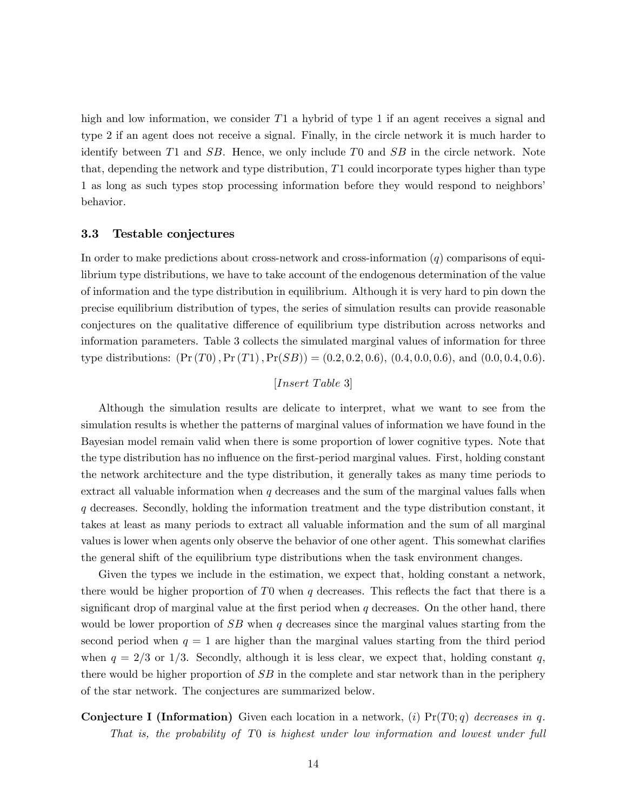high and low information, we consider T1 a hybrid of type 1 if an agent receives a signal and type 2 if an agent does not receive a signal. Finally, in the circle network it is much harder to identify between T1 and  $SB$ . Hence, we only include T0 and  $SB$  in the circle network. Note that, depending the network and type distribution, T1 could incorporate types higher than type 1 as long as such types stop processing information before they would respond to neighborsí behavior.

### 3.3 Testable conjectures

In order to make predictions about cross-network and cross-information  $(q)$  comparisons of equilibrium type distributions, we have to take account of the endogenous determination of the value of information and the type distribution in equilibrium. Although it is very hard to pin down the precise equilibrium distribution of types, the series of simulation results can provide reasonable conjectures on the qualitative difference of equilibrium type distribution across networks and information parameters. Table 3 collects the simulated marginal values of information for three type distributions:  $(\Pr(T0),\Pr(T1),\Pr(SB)) = (0.2,0.2,0.6), (0.4,0.0,0.6), \text{ and } (0.0,0.4,0.6).$ 

### $[Insert\ Table\ 3]$

Although the simulation results are delicate to interpret, what we want to see from the simulation results is whether the patterns of marginal values of information we have found in the Bayesian model remain valid when there is some proportion of lower cognitive types. Note that the type distribution has no influence on the first-period marginal values. First, holding constant the network architecture and the type distribution, it generally takes as many time periods to extract all valuable information when  $q$  decreases and the sum of the marginal values falls when q decreases. Secondly, holding the information treatment and the type distribution constant, it takes at least as many periods to extract all valuable information and the sum of all marginal values is lower when agents only observe the behavior of one other agent. This somewhat clarifies the general shift of the equilibrium type distributions when the task environment changes.

Given the types we include in the estimation, we expect that, holding constant a network, there would be higher proportion of  $T0$  when q decreases. This reflects the fact that there is a significant drop of marginal value at the first period when  $q$  decreases. On the other hand, there would be lower proportion of  $SB$  when q decreases since the marginal values starting from the second period when  $q = 1$  are higher than the marginal values starting from the third period when  $q = 2/3$  or 1/3. Secondly, although it is less clear, we expect that, holding constant q, there would be higher proportion of SB in the complete and star network than in the periphery of the star network. The conjectures are summarized below.

**Conjecture I (Information)** Given each location in a network, (i)  $Pr(T0; q)$  decreases in q. That is, the probability of T0 is highest under low information and lowest under full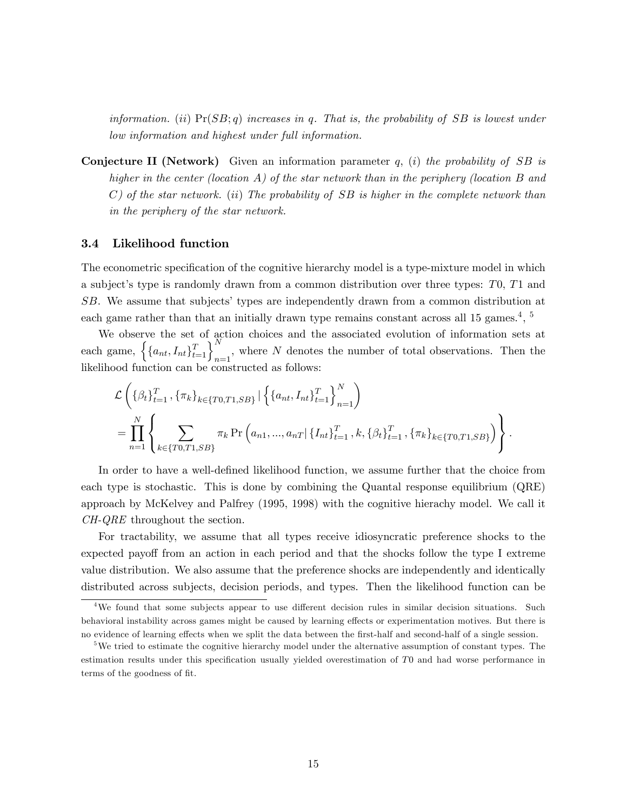information. (ii)  $Pr(SB; q)$  increases in q. That is, the probability of SB is lowest under low information and highest under full information.

**Conjecture II (Network)** Given an information parameter  $q$ ,  $(i)$  the probability of SB is higher in the center (location A) of the star network than in the periphery (location B and  $C$ ) of the star network. (ii) The probability of  $SB$  is higher in the complete network than in the periphery of the star network.

### 3.4 Likelihood function

The econometric specification of the cognitive hierarchy model is a type-mixture model in which a subject's type is randomly drawn from a common distribution over three types:  $T_0$ ,  $T_1$  and SB. We assume that subjects' types are independently drawn from a common distribution at each game rather than that an initially drawn type remains constant across all 15 games.<sup>4</sup>, <sup>5</sup>

We observe the set of action choices and the associated evolution of information sets at each game,  $\left\{\left\{a_{nt}, I_{nt}\right\}_{t=1}^T\right\}_{n=1}^N$ , where N denotes the number of total observations. Then the likelihood function can be constructed as follows:

$$
\mathcal{L}\left(\{\beta_t\}_{t=1}^T, \{\pi_k\}_{k\in\{T0,T1,SB\}} \mid \left\{\{a_{nt}, I_{nt}\}_{t=1}^T\right\}_{n=1}^N\right)
$$
\n
$$
= \prod_{n=1}^N \left\{\sum_{k\in\{T0,T1,SB\}} \pi_k \Pr\left(a_{n1}, ..., a_{nT} \mid \{I_{nt}\}_{t=1}^T, k, \{\beta_t\}_{t=1}^T, \{\pi_k\}_{k\in\{T0,T1,SB\}}\right)\right\}.
$$

In order to have a well-defined likelihood function, we assume further that the choice from each type is stochastic. This is done by combining the Quantal response equilibrium (QRE) approach by McKelvey and Palfrey (1995, 1998) with the cognitive hierachy model. We call it CH-QRE throughout the section.

For tractability, we assume that all types receive idiosyncratic preference shocks to the expected payoff from an action in each period and that the shocks follow the type I extreme value distribution. We also assume that the preference shocks are independently and identically distributed across subjects, decision periods, and types. Then the likelihood function can be

 $4$ We found that some subjects appear to use different decision rules in similar decision situations. Such behavioral instability across games might be caused by learning effects or experimentation motives. But there is no evidence of learning effects when we split the data between the first-half and second-half of a single session.

<sup>&</sup>lt;sup>5</sup>We tried to estimate the cognitive hierarchy model under the alternative assumption of constant types. The estimation results under this specification usually yielded overestimation of T0 and had worse performance in terms of the goodness of fit.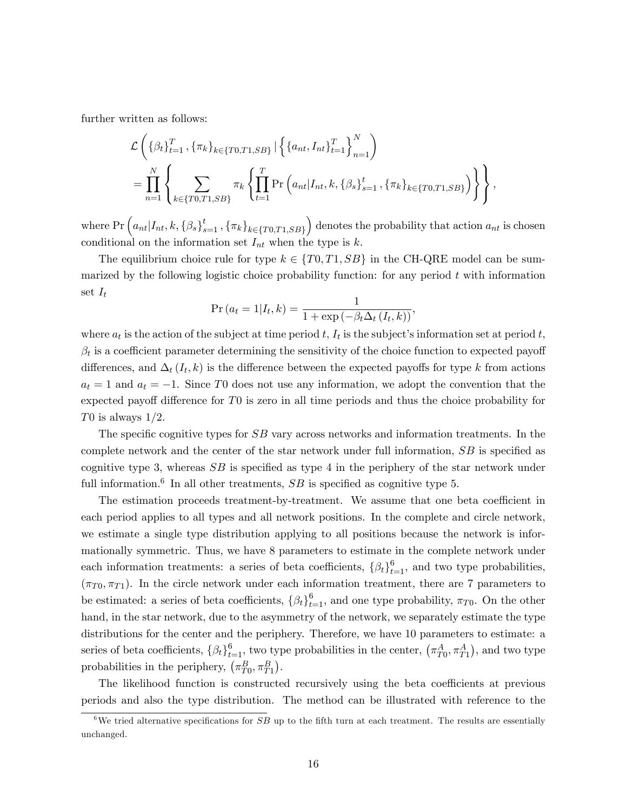further written as follows:

$$
\mathcal{L}\left(\{\beta_t\}_{t=1}^T, \{\pi_k\}_{k\in\{T0,T1,SB\}} \mid \left\{\{a_{nt}, I_{nt}\}_{t=1}^T\right\}_{n=1}^N\right) \n= \prod_{n=1}^N \left\{\sum_{k\in\{T0,T1,SB\}} \pi_k \left\{\prod_{t=1}^T \Pr\left(a_{nt}|I_{nt}, k, \{\beta_s\}_{s=1}^t, \{\pi_k\}_{k\in\{T0,T1,SB\}}\right)\right\}\right\},
$$

where  $\Pr\left(a_{nt}|I_{nt}, k, \{\beta_s\}_{s=1}^t, \{\pi_k\}_{k\in\{T0,T1,SB\}}\right)$  denotes the probability that action  $a_{nt}$  is chosen conditional on the information set  $I_{nt}$  when the type is k.

The equilibrium choice rule for type  $k \in \{T0, T1, SB\}$  in the CH-QRE model can be summarized by the following logistic choice probability function: for any period  $t$  with information set  $I_t$ 

$$
\Pr(a_t = 1 | I_t, k) = \frac{1}{1 + \exp(-\beta_t \Delta_t(I_t, k))},
$$

where  $a_t$  is the action of the subject at time period t,  $I_t$  is the subject's information set at period t,  $\beta_t$  is a coefficient parameter determining the sensitivity of the choice function to expected payoff differences, and  $\Delta_t (I_t, k)$  is the difference between the expected payoffs for type k from actions  $a_t = 1$  and  $a_t = -1$ . Since T0 does not use any information, we adopt the convention that the expected payoff difference for  $T0$  is zero in all time periods and thus the choice probability for T0 is always  $1/2$ .

The specific cognitive types for  $SB$  vary across networks and information treatments. In the complete network and the center of the star network under full information,  $SB$  is specified as cognitive type 3, whereas  $SB$  is specified as type 4 in the periphery of the star network under full information.<sup>6</sup> In all other treatments,  $SB$  is specified as cognitive type 5.

The estimation proceeds treatment-by-treatment. We assume that one beta coefficient in each period applies to all types and all network positions. In the complete and circle network, we estimate a single type distribution applying to all positions because the network is informationally symmetric. Thus, we have 8 parameters to estimate in the complete network under each information treatments: a series of beta coefficients,  $\{\beta_t\}_{t=1}^6$ , and two type probabilities,  $(\pi_{T0}, \pi_{T1})$ . In the circle network under each information treatment, there are 7 parameters to be estimated: a series of beta coefficients,  $\{\beta_t\}_{t=1}^6$ , and one type probability,  $\pi_{T0}$ . On the other hand, in the star network, due to the asymmetry of the network, we separately estimate the type distributions for the center and the periphery. Therefore, we have 10 parameters to estimate: a series of beta coefficients,  $\{\beta_t\}_{t=1}^6$ , two type probabilities in the center,  $(\pi_{T0}^A, \pi_{T1}^A)$ , and two type probabilities in the periphery,  $(\pi_{T0}^B, \pi_{T1}^B)$ .

The likelihood function is constructed recursively using the beta coefficients at previous periods and also the type distribution. The method can be illustrated with reference to the

 $6$ We tried alternative specifications for  $SB$  up to the fifth turn at each treatment. The results are essentially unchanged.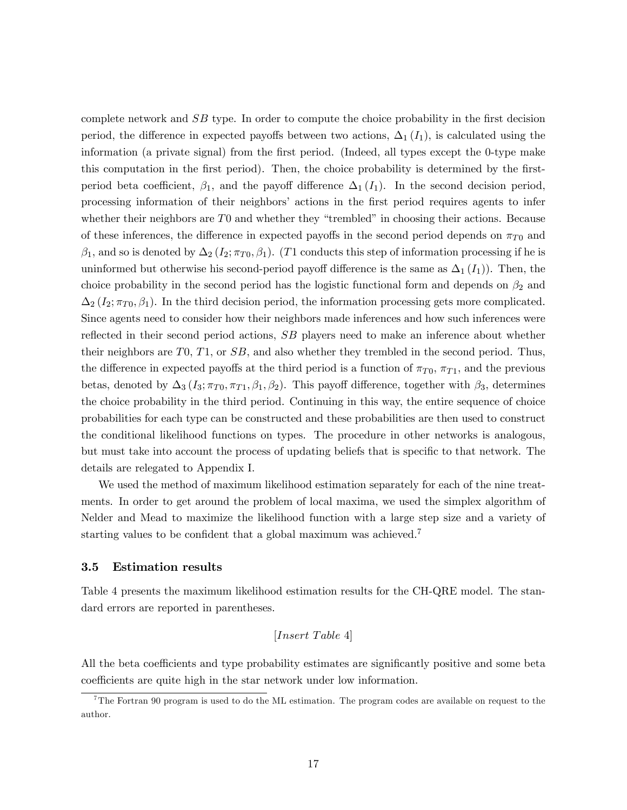complete network and  $SB$  type. In order to compute the choice probability in the first decision period, the difference in expected payoffs between two actions,  $\Delta_1 (I_1)$ , is calculated using the information (a private signal) from the first period. (Indeed, all types except the 0-type make this computation in the first period). Then, the choice probability is determined by the firstperiod beta coefficient,  $\beta_1$ , and the payoff difference  $\Delta_1(I_1)$ . In the second decision period, processing information of their neighbors' actions in the first period requires agents to infer whether their neighbors are  $T_0$  and whether they "trembled" in choosing their actions. Because of these inferences, the difference in expected payoffs in the second period depends on  $\pi_{T0}$  and  $\beta_1$ , and so is denoted by  $\Delta_2 (I_2; \pi_{T0}, \beta_1)$ . (T1 conducts this step of information processing if he is uninformed but otherwise his second-period payoff difference is the same as  $\Delta_1 (I_1)$ . Then, the choice probability in the second period has the logistic functional form and depends on  $\beta_2$  and  $\Delta_2(I_2; \pi_{T0}, \beta_1)$ . In the third decision period, the information processing gets more complicated. Since agents need to consider how their neighbors made inferences and how such inferences were reflected in their second period actions,  $SB$  players need to make an inference about whether their neighbors are  $T0$ ,  $T1$ , or  $SB$ , and also whether they trembled in the second period. Thus, the difference in expected payoffs at the third period is a function of  $\pi_{T0}$ ,  $\pi_{T1}$ , and the previous betas, denoted by  $\Delta_3(I_3;\pi_{T0},\pi_{T1},\beta_1,\beta_2)$ . This payoff difference, together with  $\beta_3$ , determines the choice probability in the third period. Continuing in this way, the entire sequence of choice probabilities for each type can be constructed and these probabilities are then used to construct the conditional likelihood functions on types. The procedure in other networks is analogous, but must take into account the process of updating beliefs that is specific to that network. The details are relegated to Appendix I.

We used the method of maximum likelihood estimation separately for each of the nine treatments. In order to get around the problem of local maxima, we used the simplex algorithm of Nelder and Mead to maximize the likelihood function with a large step size and a variety of starting values to be confident that a global maximum was achieved.<sup>7</sup>

### 3.5 Estimation results

Table 4 presents the maximum likelihood estimation results for the CH-QRE model. The standard errors are reported in parentheses.

### $[Insert\ Table\ 4]$

All the beta coefficients and type probability estimates are significantly positive and some beta coefficients are quite high in the star network under low information.

<sup>&</sup>lt;sup>7</sup>The Fortran 90 program is used to do the ML estimation. The program codes are available on request to the author.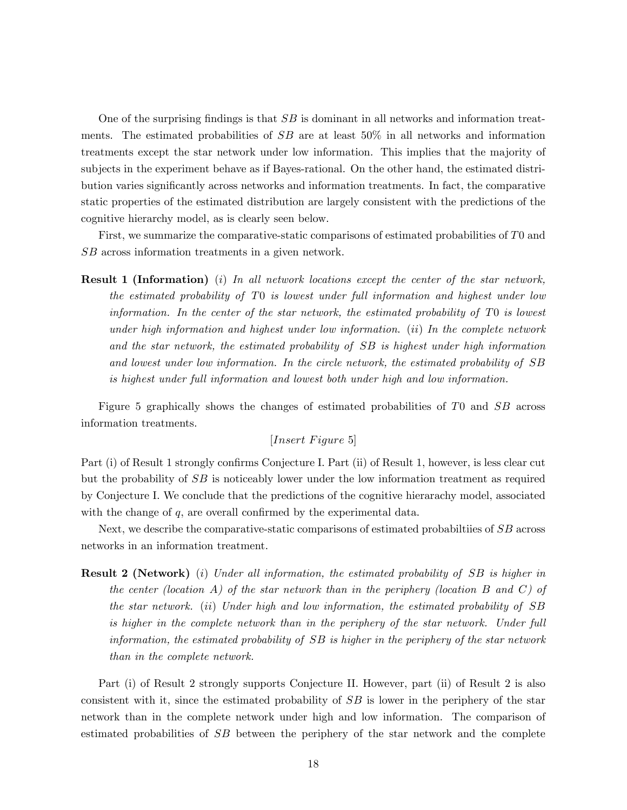One of the surprising findings is that  $SB$  is dominant in all networks and information treatments. The estimated probabilities of  $SB$  are at least  $50\%$  in all networks and information treatments except the star network under low information. This implies that the majority of subjects in the experiment behave as if Bayes-rational. On the other hand, the estimated distribution varies significantly across networks and information treatments. In fact, the comparative static properties of the estimated distribution are largely consistent with the predictions of the cognitive hierarchy model, as is clearly seen below.

First, we summarize the comparative-static comparisons of estimated probabilities of T0 and SB across information treatments in a given network.

**Result 1 (Information)** (i) In all network locations except the center of the star network, the estimated probability of T0 is lowest under full information and highest under low information. In the center of the star network, the estimated probability of T0 is lowest under high information and highest under low information. (ii) In the complete network and the star network, the estimated probability of SB is highest under high information and lowest under low information. In the circle network, the estimated probability of SB is highest under full information and lowest both under high and low information.

Figure 5 graphically shows the changes of estimated probabilities of T0 and SB across information treatments.

### $[Insert \, Figure \, 5]$

Part (i) of Result 1 strongly confirms Conjecture I. Part (ii) of Result 1, however, is less clear cut but the probability of SB is noticeably lower under the low information treatment as required by Conjecture I. We conclude that the predictions of the cognitive hierarachy model, associated with the change of  $q$ , are overall confirmed by the experimental data.

Next, we describe the comparative-static comparisons of estimated probabilities of SB across networks in an information treatment.

Result 2 (Network) (i) Under all information, the estimated probability of SB is higher in the center (location A) of the star network than in the periphery (location B and C) of the star network. (ii) Under high and low information, the estimated probability of SB is higher in the complete network than in the periphery of the star network. Under full information, the estimated probability of SB is higher in the periphery of the star network than in the complete network.

Part (i) of Result 2 strongly supports Conjecture II. However, part (ii) of Result 2 is also consistent with it, since the estimated probability of  $SB$  is lower in the periphery of the star network than in the complete network under high and low information. The comparison of estimated probabilities of  $SB$  between the periphery of the star network and the complete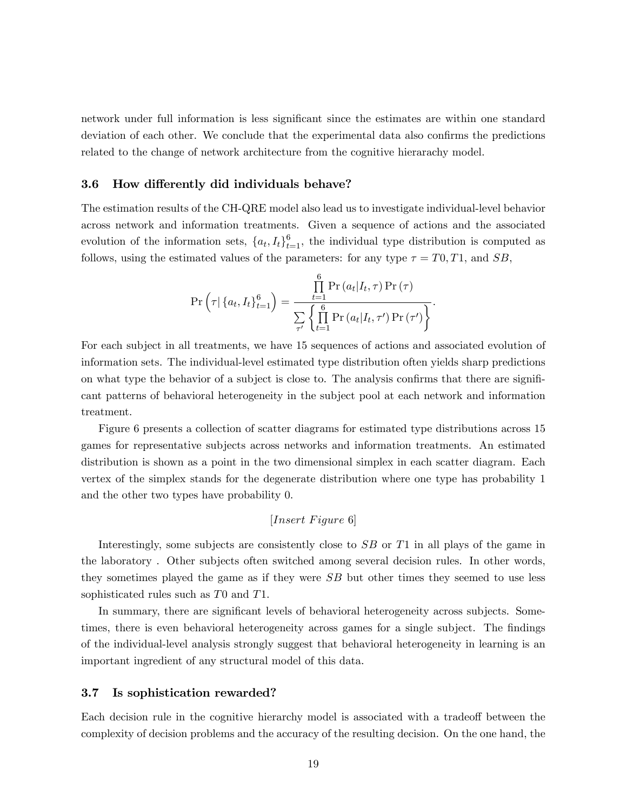network under full information is less significant since the estimates are within one standard deviation of each other. We conclude that the experimental data also confirms the predictions related to the change of network architecture from the cognitive hierarachy model.

### 3.6 How differently did individuals behave?

The estimation results of the CH-QRE model also lead us to investigate individual-level behavior across network and information treatments. Given a sequence of actions and the associated evolution of the information sets,  $\{a_t, I_t\}_{t=1}^6$ , the individual type distribution is computed as follows, using the estimated values of the parameters: for any type  $\tau = T0, T1$ , and  $SB$ ,

$$
\Pr\left(\tau|\left\{a_t, I_t\right\}_{t=1}^6\right) = \frac{\prod\limits_{t=1}^6 \Pr\left(a_t|I_t, \tau\right) \Pr\left(\tau\right)}{\sum\limits_{\tau'} \left\{\prod\limits_{t=1}^6 \Pr\left(a_t|I_t, \tau'\right) \Pr\left(\tau'\right)\right\}}.
$$

For each subject in all treatments, we have 15 sequences of actions and associated evolution of information sets. The individual-level estimated type distribution often yields sharp predictions on what type the behavior of a subject is close to. The analysis confirms that there are significant patterns of behavioral heterogeneity in the subject pool at each network and information treatment.

Figure 6 presents a collection of scatter diagrams for estimated type distributions across 15 games for representative subjects across networks and information treatments. An estimated distribution is shown as a point in the two dimensional simplex in each scatter diagram. Each vertex of the simplex stands for the degenerate distribution where one type has probability 1 and the other two types have probability 0.

### $[Insert \ Figure 6]$

Interestingly, some subjects are consistently close to SB or T1 in all plays of the game in the laboratory . Other subjects often switched among several decision rules. In other words, they sometimes played the game as if they were SB but other times they seemed to use less sophisticated rules such as T<sub>0</sub> and T<sub>1</sub>.

In summary, there are significant levels of behavioral heterogeneity across subjects. Sometimes, there is even behavioral heterogeneity across games for a single subject. The findings of the individual-level analysis strongly suggest that behavioral heterogeneity in learning is an important ingredient of any structural model of this data.

### 3.7 Is sophistication rewarded?

Each decision rule in the cognitive hierarchy model is associated with a tradeoff between the complexity of decision problems and the accuracy of the resulting decision. On the one hand, the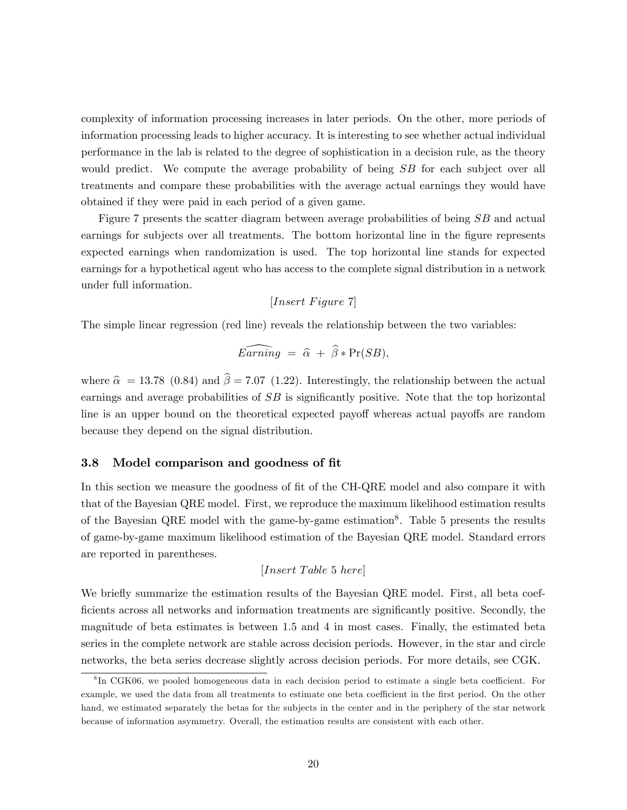complexity of information processing increases in later periods. On the other, more periods of information processing leads to higher accuracy. It is interesting to see whether actual individual performance in the lab is related to the degree of sophistication in a decision rule, as the theory would predict. We compute the average probability of being SB for each subject over all treatments and compare these probabilities with the average actual earnings they would have obtained if they were paid in each period of a given game.

Figure 7 presents the scatter diagram between average probabilities of being SB and actual earnings for subjects over all treatments. The bottom horizontal line in the figure represents expected earnings when randomization is used. The top horizontal line stands for expected earnings for a hypothetical agent who has access to the complete signal distribution in a network under full information.

$$
[Insert\ Figure\ 7]
$$

The simple linear regression (red line) reveals the relationship between the two variables:

$$
\widehat{Earning} = \widehat{\alpha} + \widehat{\beta} * \Pr(SB),
$$

where  $\hat{\alpha} = 13.78$  (0.84) and  $\hat{\beta} = 7.07$  (1.22). Interestingly, the relationship between the actual earnings and average probabilities of  $SB$  is significantly positive. Note that the top horizontal line is an upper bound on the theoretical expected payoff whereas actual payoffs are random because they depend on the signal distribution.

### 3.8 Model comparison and goodness of fit

In this section we measure the goodness of fit of the CH-QRE model and also compare it with that of the Bayesian QRE model. First, we reproduce the maximum likelihood estimation results of the Bayesian QRE model with the game-by-game estimation<sup>8</sup>. Table 5 presents the results of game-by-game maximum likelihood estimation of the Bayesian QRE model. Standard errors are reported in parentheses.

$$
[Insert\ Table\ 5\ here]
$$

We briefly summarize the estimation results of the Bayesian QRE model. First, all beta coefficients across all networks and information treatments are significantly positive. Secondly, the magnitude of beta estimates is between 1.5 and 4 in most cases. Finally, the estimated beta series in the complete network are stable across decision periods. However, in the star and circle networks, the beta series decrease slightly across decision periods. For more details, see CGK.

<sup>&</sup>lt;sup>8</sup>In CGK06, we pooled homogeneous data in each decision period to estimate a single beta coefficient. For example, we used the data from all treatments to estimate one beta coefficient in the first period. On the other hand, we estimated separately the betas for the subjects in the center and in the periphery of the star network because of information asymmetry. Overall, the estimation results are consistent with each other.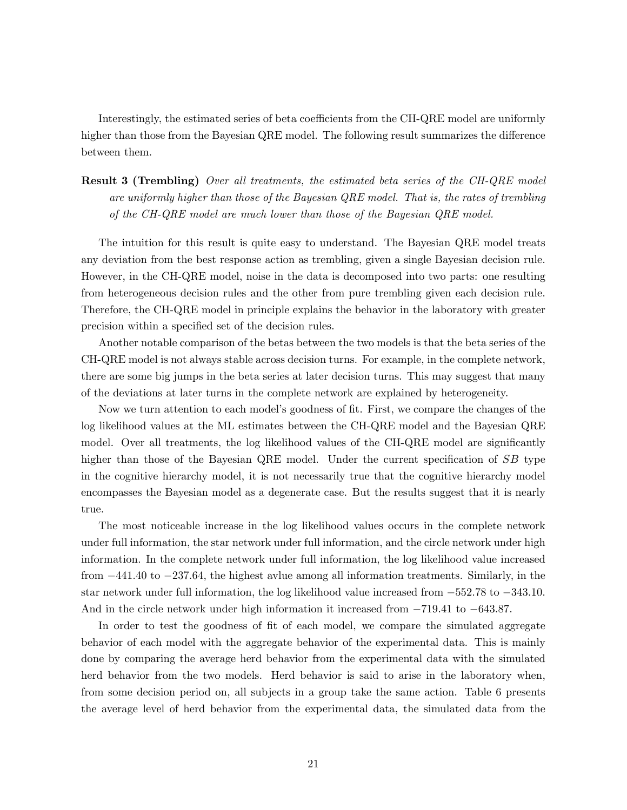Interestingly, the estimated series of beta coefficients from the CH-QRE model are uniformly higher than those from the Bayesian QRE model. The following result summarizes the difference between them.

**Result 3 (Trembling)** Over all treatments, the estimated beta series of the CH-QRE model are uniformly higher than those of the Bayesian QRE model. That is, the rates of trembling of the CH-QRE model are much lower than those of the Bayesian QRE model.

The intuition for this result is quite easy to understand. The Bayesian QRE model treats any deviation from the best response action as trembling, given a single Bayesian decision rule. However, in the CH-QRE model, noise in the data is decomposed into two parts: one resulting from heterogeneous decision rules and the other from pure trembling given each decision rule. Therefore, the CH-QRE model in principle explains the behavior in the laboratory with greater precision within a specified set of the decision rules.

Another notable comparison of the betas between the two models is that the beta series of the CH-QRE model is not always stable across decision turns. For example, in the complete network, there are some big jumps in the beta series at later decision turns. This may suggest that many of the deviations at later turns in the complete network are explained by heterogeneity.

Now we turn attention to each model's goodness of fit. First, we compare the changes of the log likelihood values at the ML estimates between the CH-QRE model and the Bayesian QRE model. Over all treatments, the log likelihood values of the CH-QRE model are significantly higher than those of the Bayesian QRE model. Under the current specification of  $SB$  type in the cognitive hierarchy model, it is not necessarily true that the cognitive hierarchy model encompasses the Bayesian model as a degenerate case. But the results suggest that it is nearly true.

The most noticeable increase in the log likelihood values occurs in the complete network under full information, the star network under full information, and the circle network under high information. In the complete network under full information, the log likelihood value increased from  $-441.40$  to  $-237.64$ , the highest avlue among all information treatments. Similarly, in the star network under full information, the log likelihood value increased from  $-552.78$  to  $-343.10$ . And in the circle network under high information it increased from  $-719.41$  to  $-643.87$ .

In order to test the goodness of fit of each model, we compare the simulated aggregate behavior of each model with the aggregate behavior of the experimental data. This is mainly done by comparing the average herd behavior from the experimental data with the simulated herd behavior from the two models. Herd behavior is said to arise in the laboratory when, from some decision period on, all subjects in a group take the same action. Table 6 presents the average level of herd behavior from the experimental data, the simulated data from the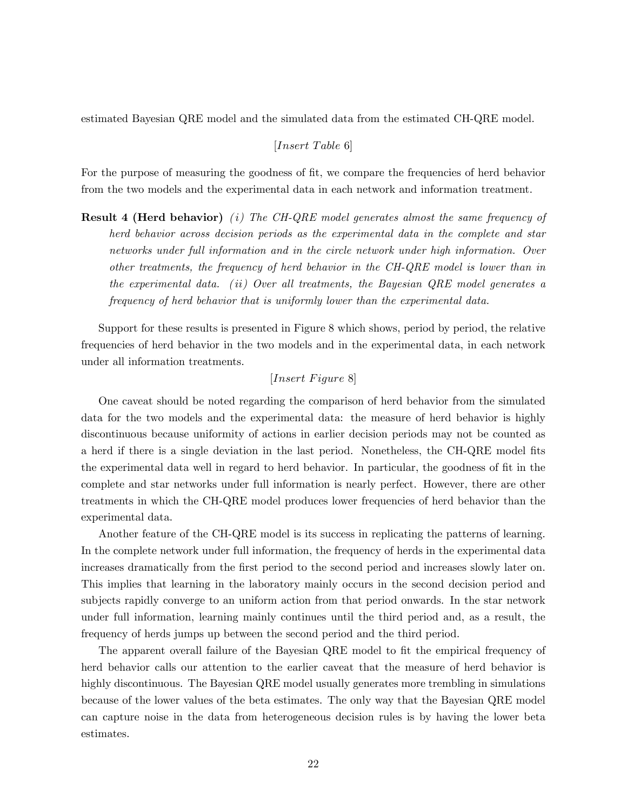estimated Bayesian QRE model and the simulated data from the estimated CH-QRE model.

### $[Insert\ Table\ 6]$

For the purpose of measuring the goodness of fit, we compare the frequencies of herd behavior from the two models and the experimental data in each network and information treatment.

**Result 4 (Herd behavior)** (*i*) The CH-QRE model generates almost the same frequency of herd behavior across decision periods as the experimental data in the complete and star networks under full information and in the circle network under high information. Over other treatments, the frequency of herd behavior in the CH-QRE model is lower than in the experimental data. (ii) Over all treatments, the Bayesian QRE model generates a frequency of herd behavior that is uniformly lower than the experimental data.

Support for these results is presented in Figure 8 which shows, period by period, the relative frequencies of herd behavior in the two models and in the experimental data, in each network under all information treatments.

### $[Insert \, Figure \, 8]$

One caveat should be noted regarding the comparison of herd behavior from the simulated data for the two models and the experimental data: the measure of herd behavior is highly discontinuous because uniformity of actions in earlier decision periods may not be counted as a herd if there is a single deviation in the last period. Nonetheless, the CH-QRE model fits the experimental data well in regard to herd behavior. In particular, the goodness of fit in the complete and star networks under full information is nearly perfect. However, there are other treatments in which the CH-QRE model produces lower frequencies of herd behavior than the experimental data.

Another feature of the CH-QRE model is its success in replicating the patterns of learning. In the complete network under full information, the frequency of herds in the experimental data increases dramatically from the first period to the second period and increases slowly later on. This implies that learning in the laboratory mainly occurs in the second decision period and subjects rapidly converge to an uniform action from that period onwards. In the star network under full information, learning mainly continues until the third period and, as a result, the frequency of herds jumps up between the second period and the third period.

The apparent overall failure of the Bayesian QRE model to fit the empirical frequency of herd behavior calls our attention to the earlier caveat that the measure of herd behavior is highly discontinuous. The Bayesian QRE model usually generates more trembling in simulations because of the lower values of the beta estimates. The only way that the Bayesian QRE model can capture noise in the data from heterogeneous decision rules is by having the lower beta estimates.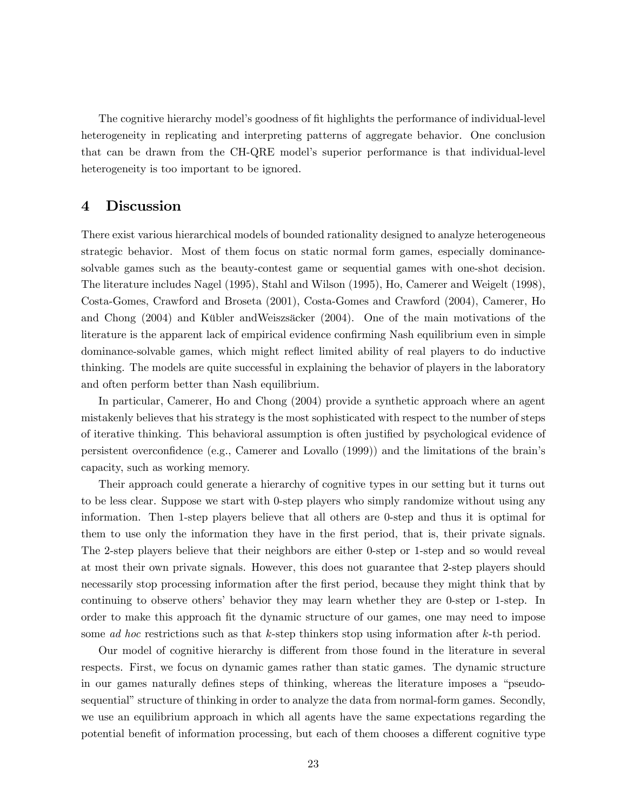The cognitive hierarchy model's goodness of fit highlights the performance of individual-level heterogeneity in replicating and interpreting patterns of aggregate behavior. One conclusion that can be drawn from the CH-QRE modelís superior performance is that individual-level heterogeneity is too important to be ignored.

### 4 Discussion

There exist various hierarchical models of bounded rationality designed to analyze heterogeneous strategic behavior. Most of them focus on static normal form games, especially dominancesolvable games such as the beauty-contest game or sequential games with one-shot decision. The literature includes Nagel (1995), Stahl and Wilson (1995), Ho, Camerer and Weigelt (1998), Costa-Gomes, Crawford and Broseta (2001), Costa-Gomes and Crawford (2004), Camerer, Ho and Chong  $(2004)$  and Kübler and Weiszsäcker  $(2004)$ . One of the main motivations of the literature is the apparent lack of empirical evidence confirming Nash equilibrium even in simple dominance-solvable games, which might reflect limited ability of real players to do inductive thinking. The models are quite successful in explaining the behavior of players in the laboratory and often perform better than Nash equilibrium.

In particular, Camerer, Ho and Chong (2004) provide a synthetic approach where an agent mistakenly believes that his strategy is the most sophisticated with respect to the number of steps of iterative thinking. This behavioral assumption is often justified by psychological evidence of persistent overconfidence (e.g., Camerer and Lovallo  $(1999)$ ) and the limitations of the brain's capacity, such as working memory.

Their approach could generate a hierarchy of cognitive types in our setting but it turns out to be less clear. Suppose we start with 0-step players who simply randomize without using any information. Then 1-step players believe that all others are 0-step and thus it is optimal for them to use only the information they have in the Örst period, that is, their private signals. The 2-step players believe that their neighbors are either 0-step or 1-step and so would reveal at most their own private signals. However, this does not guarantee that 2-step players should necessarily stop processing information after the first period, because they might think that by continuing to observe othersí behavior they may learn whether they are 0-step or 1-step. In order to make this approach Öt the dynamic structure of our games, one may need to impose some *ad hoc* restrictions such as that k-step thinkers stop using information after  $k$ -th period.

Our model of cognitive hierarchy is different from those found in the literature in several respects. First, we focus on dynamic games rather than static games. The dynamic structure in our games naturally defines steps of thinking, whereas the literature imposes a "pseudosequential" structure of thinking in order to analyze the data from normal-form games. Secondly, we use an equilibrium approach in which all agents have the same expectations regarding the potential benefit of information processing, but each of them chooses a different cognitive type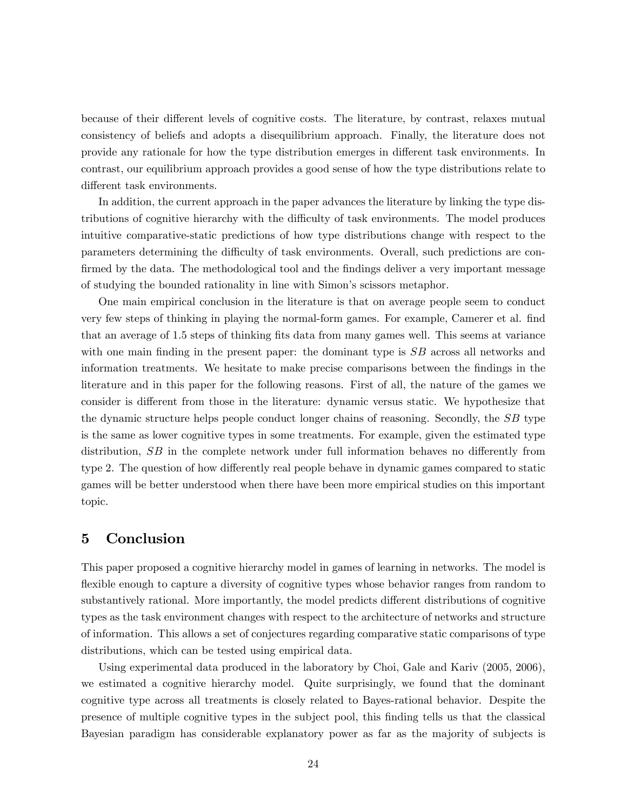because of their different levels of cognitive costs. The literature, by contrast, relaxes mutual consistency of beliefs and adopts a disequilibrium approach. Finally, the literature does not provide any rationale for how the type distribution emerges in different task environments. In contrast, our equilibrium approach provides a good sense of how the type distributions relate to different task environments.

In addition, the current approach in the paper advances the literature by linking the type distributions of cognitive hierarchy with the difficulty of task environments. The model produces intuitive comparative-static predictions of how type distributions change with respect to the parameters determining the difficulty of task environments. Overall, such predictions are confirmed by the data. The methodological tool and the findings deliver a very important message of studying the bounded rationality in line with Simonís scissors metaphor.

One main empirical conclusion in the literature is that on average people seem to conduct very few steps of thinking in playing the normal-form games. For example, Camerer et al. find that an average of 1.5 steps of thinking fits data from many games well. This seems at variance with one main finding in the present paper: the dominant type is  $SB$  across all networks and information treatments. We hesitate to make precise comparisons between the findings in the literature and in this paper for the following reasons. First of all, the nature of the games we consider is different from those in the literature: dynamic versus static. We hypothesize that the dynamic structure helps people conduct longer chains of reasoning. Secondly, the SB type is the same as lower cognitive types in some treatments. For example, given the estimated type distribution,  $SB$  in the complete network under full information behaves no differently from type 2. The question of how differently real people behave in dynamic games compared to static games will be better understood when there have been more empirical studies on this important topic.

### 5 Conclusion

This paper proposed a cognitive hierarchy model in games of learning in networks. The model is flexible enough to capture a diversity of cognitive types whose behavior ranges from random to substantively rational. More importantly, the model predicts different distributions of cognitive types as the task environment changes with respect to the architecture of networks and structure of information. This allows a set of conjectures regarding comparative static comparisons of type distributions, which can be tested using empirical data.

Using experimental data produced in the laboratory by Choi, Gale and Kariv (2005, 2006), we estimated a cognitive hierarchy model. Quite surprisingly, we found that the dominant cognitive type across all treatments is closely related to Bayes-rational behavior. Despite the presence of multiple cognitive types in the subject pool, this Önding tells us that the classical Bayesian paradigm has considerable explanatory power as far as the majority of subjects is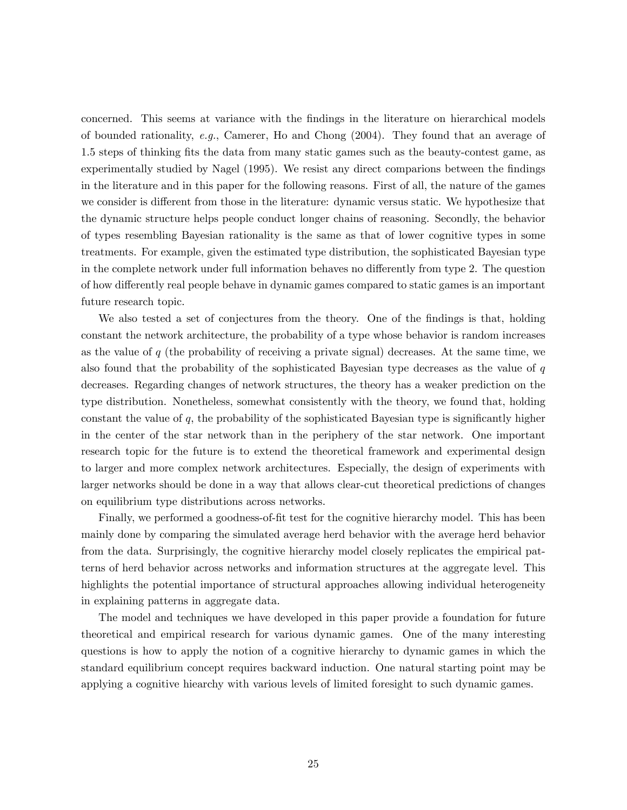concerned. This seems at variance with the Öndings in the literature on hierarchical models of bounded rationality, e.g., Camerer, Ho and Chong  $(2004)$ . They found that an average of 1.5 steps of thinking fits the data from many static games such as the beauty-contest game, as experimentally studied by Nagel (1995). We resist any direct comparions between the findings in the literature and in this paper for the following reasons. First of all, the nature of the games we consider is different from those in the literature: dynamic versus static. We hypothesize that the dynamic structure helps people conduct longer chains of reasoning. Secondly, the behavior of types resembling Bayesian rationality is the same as that of lower cognitive types in some treatments. For example, given the estimated type distribution, the sophisticated Bayesian type in the complete network under full information behaves no differently from type 2. The question of how differently real people behave in dynamic games compared to static games is an important future research topic.

We also tested a set of conjectures from the theory. One of the findings is that, holding constant the network architecture, the probability of a type whose behavior is random increases as the value of  $q$  (the probability of receiving a private signal) decreases. At the same time, we also found that the probability of the sophisticated Bayesian type decreases as the value of q decreases. Regarding changes of network structures, the theory has a weaker prediction on the type distribution. Nonetheless, somewhat consistently with the theory, we found that, holding constant the value of  $q$ , the probability of the sophisticated Bayesian type is significantly higher in the center of the star network than in the periphery of the star network. One important research topic for the future is to extend the theoretical framework and experimental design to larger and more complex network architectures. Especially, the design of experiments with larger networks should be done in a way that allows clear-cut theoretical predictions of changes on equilibrium type distributions across networks.

Finally, we performed a goodness-of-fit test for the cognitive hierarchy model. This has been mainly done by comparing the simulated average herd behavior with the average herd behavior from the data. Surprisingly, the cognitive hierarchy model closely replicates the empirical patterns of herd behavior across networks and information structures at the aggregate level. This highlights the potential importance of structural approaches allowing individual heterogeneity in explaining patterns in aggregate data.

The model and techniques we have developed in this paper provide a foundation for future theoretical and empirical research for various dynamic games. One of the many interesting questions is how to apply the notion of a cognitive hierarchy to dynamic games in which the standard equilibrium concept requires backward induction. One natural starting point may be applying a cognitive hiearchy with various levels of limited foresight to such dynamic games.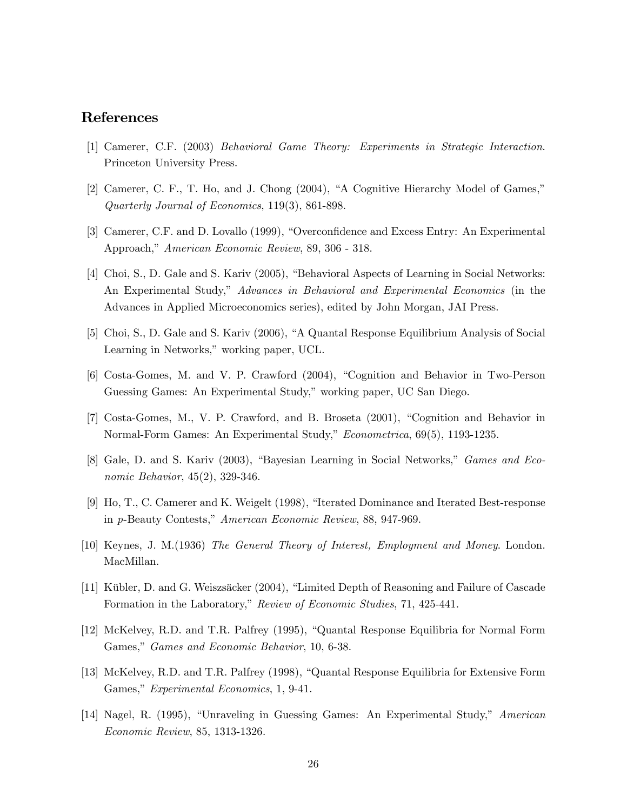### References

- [1] Camerer, C.F. (2003) Behavioral Game Theory: Experiments in Strategic Interaction. Princeton University Press.
- [2] Camerer, C. F., T. Ho, and J. Chong  $(2004)$ , "A Cognitive Hierarchy Model of Games," Quarterly Journal of Economics, 119(3), 861-898.
- [3] Camerer, C.F. and D. Lovallo (1999), "Overconfidence and Excess Entry: An Experimental Approach," American Economic Review, 89, 306 - 318.
- [4] Choi, S., D. Gale and S. Kariv (2005), "Behavioral Aspects of Learning in Social Networks: An Experimental Study," Advances in Behavioral and Experimental Economics (in the Advances in Applied Microeconomics series), edited by John Morgan, JAI Press.
- [5] Choi, S., D. Gale and S. Kariv (2006), "A Quantal Response Equilibrium Analysis of Social Learning in Networks," working paper, UCL.
- [6] Costa-Gomes, M. and V. P. Crawford (2004), "Cognition and Behavior in Two-Person Guessing Games: An Experimental Study," working paper, UC San Diego.
- [7] Costa-Gomes, M., V. P. Crawford, and B. Broseta (2001), "Cognition and Behavior in Normal-Form Games: An Experimental Study," *Econometrica*, 69(5), 1193-1235.
- [8] Gale, D. and S. Kariv (2003), "Bayesian Learning in Social Networks," *Games and Eco*nomic Behavior, 45(2), 329-346.
- [9] Ho, T., C. Camerer and K. Weigelt (1998), "Iterated Dominance and Iterated Best-response in p-Beauty Contests," American Economic Review, 88, 947-969.
- [10] Keynes, J. M.(1936) The General Theory of Interest, Employment and Money. London. MacMillan.
- [11] Kübler, D. and G. Weiszsäcker (2004), "Limited Depth of Reasoning and Failure of Cascade Formation in the Laboratory," Review of Economic Studies, 71, 425-441.
- [12] McKelvey, R.D. and T.R. Palfrey (1995), "Quantal Response Equilibria for Normal Form Games," Games and Economic Behavior, 10, 6-38.
- [13] McKelvey, R.D. and T.R. Palfrey (1998), "Quantal Response Equilibria for Extensive Form Games," Experimental Economics, 1, 9-41.
- [14] Nagel, R. (1995), "Unraveling in Guessing Games: An Experimental Study," American Economic Review, 85, 1313-1326.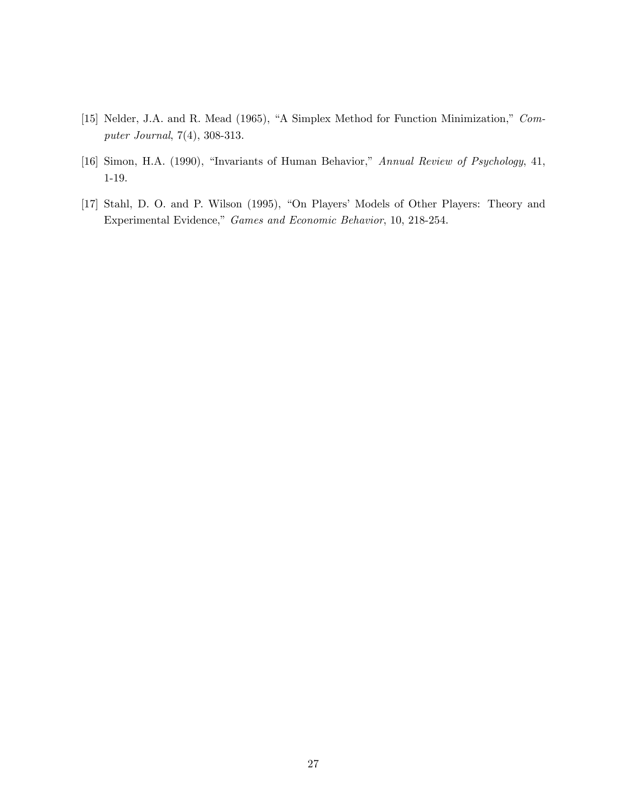- [15] Nelder, J.A. and R. Mead (1965), "A Simplex Method for Function Minimization," Computer Journal, 7(4), 308-313.
- [16] Simon, H.A. (1990), "Invariants of Human Behavior," Annual Review of Psychology, 41, 1-19.
- [17] Stahl, D. O. and P. Wilson (1995), "On Players' Models of Other Players: Theory and Experimental Evidence," Games and Economic Behavior, 10, 218-254.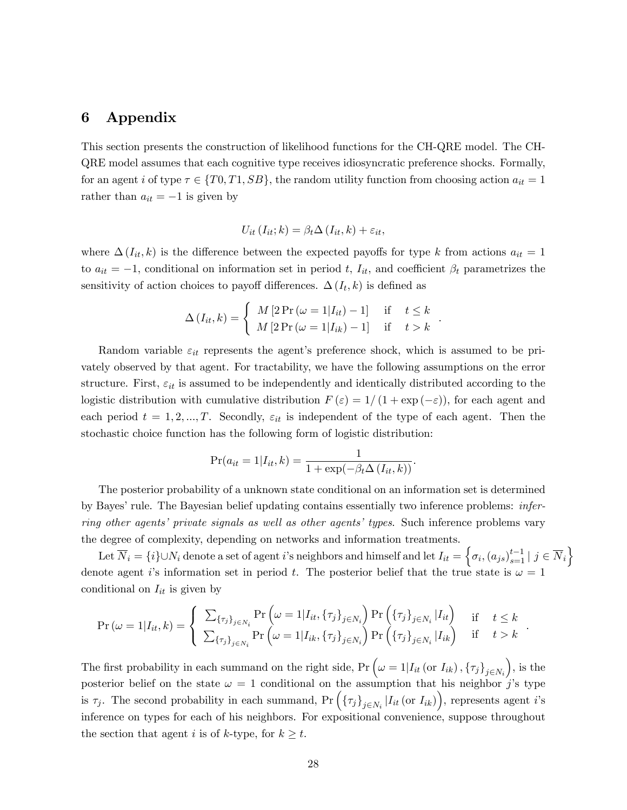### 6 Appendix

This section presents the construction of likelihood functions for the CH-QRE model. The CH-QRE model assumes that each cognitive type receives idiosyncratic preference shocks. Formally, for an agent i of type  $\tau \in \{T0, T1, SB\}$ , the random utility function from choosing action  $a_{it} = 1$ rather than  $a_{it} = -1$  is given by

$$
U_{it}(I_{it};k) = \beta_t \Delta(I_{it},k) + \varepsilon_{it},
$$

where  $\Delta(I_{it}, k)$  is the difference between the expected payoffs for type k from actions  $a_{it} = 1$ to  $a_{it} = -1$ , conditional on information set in period t,  $I_{it}$ , and coefficient  $\beta_t$  parametrizes the sensitivity of action choices to payoff differences.  $\Delta(I_t, k)$  is defined as

$$
\Delta(I_{it}, k) = \begin{cases} M [2 \Pr(\omega = 1 | I_{it}) - 1] & \text{if } t \leq k \\ M [2 \Pr(\omega = 1 | I_{ik}) - 1] & \text{if } t > k \end{cases}.
$$

Random variable  $\varepsilon_{it}$  represents the agent's preference shock, which is assumed to be privately observed by that agent. For tractability, we have the following assumptions on the error structure. First,  $\varepsilon_{it}$  is assumed to be independently and identically distributed according to the logistic distribution with cumulative distribution  $F(\varepsilon) = 1/(1 + \exp(-\varepsilon))$ , for each agent and each period  $t = 1, 2, ..., T$ . Secondly,  $\varepsilon_{it}$  is independent of the type of each agent. Then the stochastic choice function has the following form of logistic distribution:

$$
Pr(a_{it} = 1 | I_{it}, k) = \frac{1}{1 + \exp(-\beta_t \Delta(I_{it}, k))}.
$$

The posterior probability of a unknown state conditional on an information set is determined by Bayes' rule. The Bayesian belief updating contains essentially two inference problems: *infer*ring other agents' private signals as well as other agents' types. Such inference problems vary the degree of complexity, depending on networks and information treatments.

Let  $\overline{N}_i = \{i\} \cup N_i$  denote a set of agent i's neighbors and himself and let  $I_{it} = \left\{\sigma_i, (a_{js})_{s=1}^{t-1} \mid j \in \overline{N}_i\right\}$ denote agent is information set in period t. The posterior belief that the true state is  $\omega = 1$ conditional on  $I_{it}$  is given by

.

$$
\Pr(\omega = 1 | I_{it}, k) = \begin{cases} \sum_{\{\tau_j\}_{j \in N_i}} \Pr(\omega = 1 | I_{it}, \{\tau_j\}_{j \in N_i}) \Pr(\{\tau_j\}_{j \in N_i} | I_{it}) & \text{if } t \leq k \\ \sum_{\{\tau_j\}_{j \in N_i}} \Pr(\omega = 1 | I_{ik}, \{\tau_j\}_{j \in N_i}) \Pr(\{\tau_j\}_{j \in N_i} | I_{ik}) & \text{if } t > k \end{cases}
$$

The first probability in each summand on the right side,  $Pr\left(\omega=1|I_{it}(\text{or } I_{ik}), \{\tau_j\}_{j\in N_i}\right)$ , is the posterior belief on the state  $\omega = 1$  conditional on the assumption that his neighbor j's type is  $\tau_j$ . The second probability in each summand,  $Pr\left(\{\tau_j\}_{j\in N_i}|I_{it}(\text{or } I_{ik})\right)$ , represents agent *i*'s inference on types for each of his neighbors. For expositional convenience, suppose throughout the section that agent i is of k-type, for  $k \geq t$ .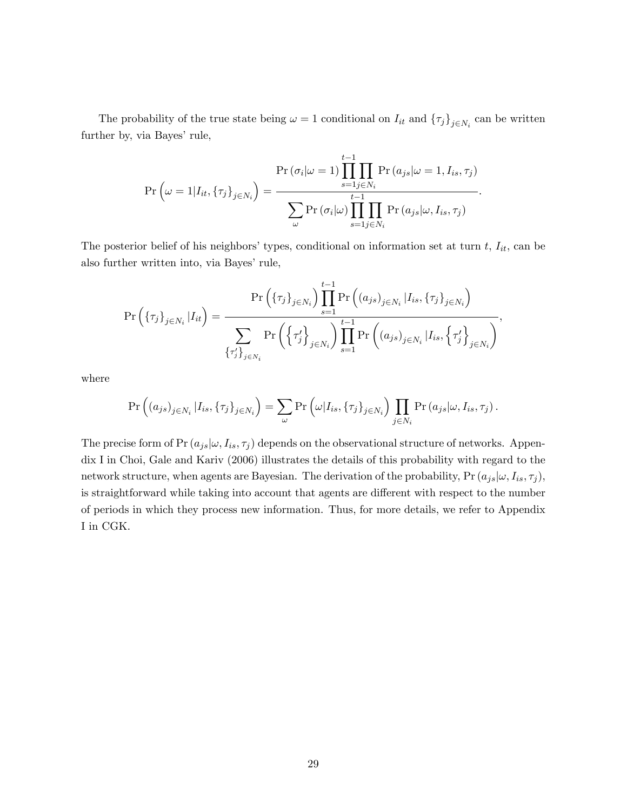The probability of the true state being  $\omega = 1$  conditional on  $I_{it}$  and  $\{\tau_j\}_{j \in N_i}$  can be written further by, via Bayes' rule,

$$
\Pr\left(\omega=1|I_{it}, \{\tau_j\}_{j\in N_i}\right) = \frac{\Pr\left(\sigma_i|\omega=1\right)\prod_{s=1}^{t-1}\prod_{j\in N_i}\Pr\left(a_{js}|\omega=1, I_{is}, \tau_j\right)}{\sum_{\omega}\Pr\left(\sigma_i|\omega\right)\prod_{s=1}^{t-1}\prod_{j\in N_i}\Pr\left(a_{js}|\omega, I_{is}, \tau_j\right)}.
$$

The posterior belief of his neighbors' types, conditional on information set at turn  $t$ ,  $I_{it}$ , can be also further written into, via Bayes' rule,

$$
\Pr\left(\{\tau_j\}_{j\in N_i} | I_{it}\right) = \frac{\Pr\left(\{\tau_j\}_{j\in N_i}\right) \prod_{s=1}^{t-1} \Pr\left((a_{js})_{j\in N_i} | I_{is}, \{\tau_j\}_{j\in N_i}\right)}{\sum_{\{\tau'_j\}_{j\in N_i}} \Pr\left(\{\tau'_j\}_{j\in N_i}\right) \prod_{s=1}^{t-1} \Pr\left((a_{js})_{j\in N_i} | I_{is}, \{\tau'_j\}_{j\in N_i}\right)},
$$

where

$$
\Pr\left(\left(a_{js}\right)_{j\in N_i}|I_{is},\left\{\tau_j\right\}_{j\in N_i}\right) = \sum_{\omega} \Pr\left(\omega|I_{is},\left\{\tau_j\right\}_{j\in N_i}\right) \prod_{j\in N_i} \Pr\left(a_{js}|\omega,I_{is},\tau_j\right).
$$

The precise form of Pr  $(a_{js}|\omega, I_{is}, \tau_j)$  depends on the observational structure of networks. Appendix I in Choi, Gale and Kariv (2006) illustrates the details of this probability with regard to the network structure, when agents are Bayesian. The derivation of the probability,  $Pr(a_{js}|\omega, I_{is}, \tau_j)$ , is straightforward while taking into account that agents are different with respect to the number of periods in which they process new information. Thus, for more details, we refer to Appendix I in CGK.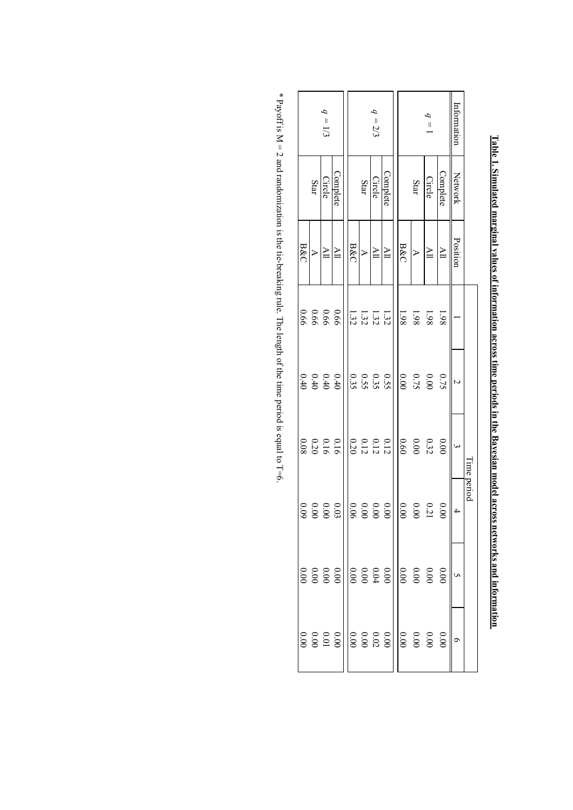|                |               |                             |                                                     |                                                     | Time period                                                 |                                                             |  |
|----------------|---------------|-----------------------------|-----------------------------------------------------|-----------------------------------------------------|-------------------------------------------------------------|-------------------------------------------------------------|--|
| liormatio      | Network       | Position                    |                                                     |                                                     |                                                             |                                                             |  |
|                | Complete      | $\overline{\mathbb{E}}$     |                                                     |                                                     |                                                             | 0.00                                                        |  |
| $\overline{a}$ | <b>Circle</b> | $\overline{M}$              | $\begin{array}{c} 1.98 \\ 1.98 \\ 1.98 \end{array}$ | $\begin{array}{c} 0.75 \\ 0.00 \\ 0.75 \end{array}$ | $\begin{array}{c} 0.00 \\ 0.32 \\ 0.00 \\ 0.60 \end{array}$ | 0.21                                                        |  |
|                | Star          | $\triangledown$             |                                                     |                                                     |                                                             | 0.00                                                        |  |
|                |               | $B\&C$                      |                                                     |                                                     |                                                             | 0.00                                                        |  |
|                | Complete      | $\mathop{\rm All}\nolimits$ | $\frac{113}{132}$<br>$\frac{133}{22}$               |                                                     |                                                             |                                                             |  |
| $q = 2/3$      | <b>Circle</b> |                             |                                                     |                                                     |                                                             | $\begin{array}{c} 0.00 \\ 0.00 \\ 0.00 \\ 0.06 \end{array}$ |  |
|                | Star          | $ \mathbf{E} $              |                                                     |                                                     |                                                             |                                                             |  |
|                |               | B&C                         |                                                     |                                                     |                                                             |                                                             |  |
|                | Complete      | $\mathbb{N}$                | $\begin{array}{c} 0.66 \\ 0.66 \\ 0.66 \end{array}$ |                                                     |                                                             |                                                             |  |
| $q = 1/3$      | Circle        |                             |                                                     |                                                     |                                                             |                                                             |  |
|                | Star          | $\frac{1}{2}$               |                                                     |                                                     |                                                             | $\begin{array}{c} 0.03 \\ 0.00 \\ 0.00 \\ 0.09 \end{array}$ |  |
|                |               | B&C                         |                                                     |                                                     |                                                             |                                                             |  |

Table 1. Simulated marginal values of information across time periods in the Bayesian model across networks and information **Table 1. Simulated marginal values of information across time periods in the Bayesian model across networks and information**

\* Payoff is  $M = 2$  and randomization is the tie-breaking rule. The length of the time period is equal to T=6.  $*$  Payoff is  $M = 2$  and randomization is the tie-breaking rule. The length of the period is equal to T=6.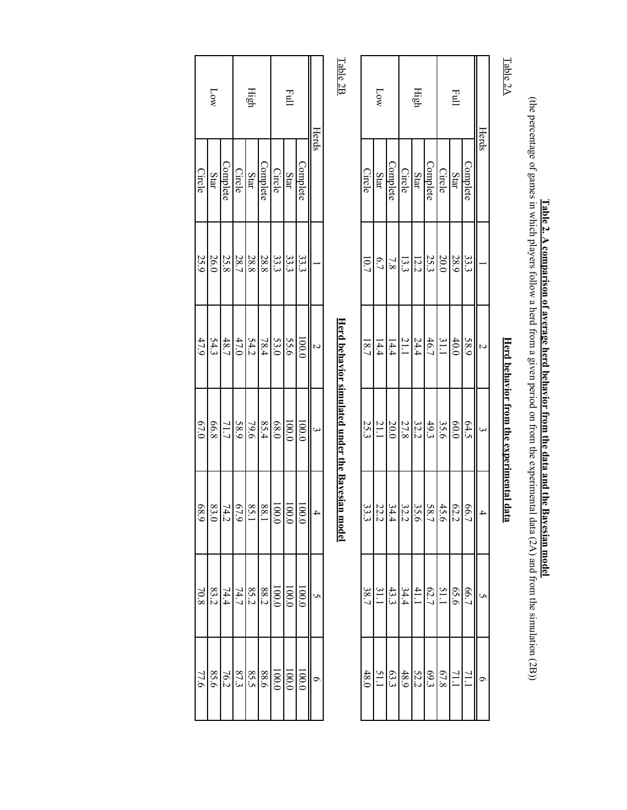| Table 2A        |               |      |      | Herd behavior from the experimental data   |                                                               |                                                      |  |
|-----------------|---------------|------|------|--------------------------------------------|---------------------------------------------------------------|------------------------------------------------------|--|
|                 | Herds         |      |      |                                            |                                                               |                                                      |  |
|                 | Complete      | 33.3 | 58.9 | 64.5                                       | $\frac{\partial \widetilde{\mathbf{g}}}{\partial \mathbf{z}}$ | $\frac{66.7}{100}$                                   |  |
| Ful             | Star          | 28.9 | 40.0 | 60.0                                       |                                                               |                                                      |  |
|                 | Circle        | 20.0 | 31.1 | 35.6                                       |                                                               | $\frac{65.6}{51.1}$                                  |  |
|                 | Complete      | 25.3 | 46.7 | 49.3                                       | $\frac{45.6}{28.7}$<br>$\frac{1}{28.7}$<br>$\frac{3}{24.4}$   |                                                      |  |
| High            | Star          | 12.2 | 24.4 | 32.2                                       |                                                               |                                                      |  |
|                 | Circle        | 13.3 | 21.1 | 27.8                                       |                                                               |                                                      |  |
|                 | Complete      | 7.8  | 14.4 | 20.0                                       |                                                               | $\frac{62.7}{\frac{41.1}{34.4}}$ $\frac{62.7}{31.1}$ |  |
| $_{\text{row}}$ | Star          | 6.7  | 14.4 | 21.1                                       | $\frac{22.2}{33.3}$                                           |                                                      |  |
|                 | <b>Circle</b> | 10.7 | 18.7 | 25.3                                       | 33                                                            | 38.7                                                 |  |
| Table 2B        |               |      |      | Herd behavior simulated under the Bayesian | model                                                         |                                                      |  |

# **Table 2. A comparison of average herd behavior from the data and the Bayesian model**

**Table 2. A comparison of average herd behavior from the data and the Bayesian model**<br>(the percentage of games in which players follow a herd from a given period on from the experimental data (2A) and from the simulation (the percentage of games in which players follow a herd from a given period on from the experimental data (2A) and from the simulation (2B))

| Low                                    |                                                             | High |                                                                                                                                                                                                                                                  |                       | Eull |                                                                                              |       |
|----------------------------------------|-------------------------------------------------------------|------|--------------------------------------------------------------------------------------------------------------------------------------------------------------------------------------------------------------------------------------------------|-----------------------|------|----------------------------------------------------------------------------------------------|-------|
| $\frac{\text{Complete}}{\text{State}}$ |                                                             |      | Complete<br>Star<br>Circle                                                                                                                                                                                                                       | $\frac{Star}{Circle}$ |      | Complete                                                                                     | Herds |
|                                        |                                                             |      | ျှို့ ျှို့ ျှို့ ရွှိရွှိန်း ပြို့ ပြို့<br>ပြို့ပြို့ ပြို့ ရွှိန်း မြို့ ပြို့ပါ                                                                                                                                                              |                       |      |                                                                                              |       |
|                                        |                                                             |      | $\frac{\frac{1000}{22}}{\frac{1000}{200}}\frac{\frac{1}{28}}{\frac{1}{28}}\frac{\frac{1}{24}}{\frac{1}{24}}\frac{\frac{1}{24}}{\frac{1}{24}}\frac{\frac{1}{24}}{\frac{1}{24}}\frac{\frac{1}{24}}{\frac{1}{24}}\frac{\frac{1}{24}}{\frac{1}{24}}$ |                       |      |                                                                                              |       |
|                                        |                                                             |      |                                                                                                                                                                                                                                                  |                       |      |                                                                                              |       |
|                                        | $\frac{88.1}{85.1}$ $\frac{67.9}{74.2}$ $\frac{83.1}{68.9}$ |      |                                                                                                                                                                                                                                                  | $\frac{1000}{1000}$   |      | 1001                                                                                         |       |
|                                        |                                                             |      |                                                                                                                                                                                                                                                  |                       |      | $\frac{\frac{1000}{10000}}{\frac{10000}{88800}}$ $\frac{\frac{1000}{8824}}{\frac{144}{108}}$ |       |
|                                        |                                                             |      |                                                                                                                                                                                                                                                  |                       |      | $\frac{\frac{1000}{10000}}{\frac{10000}{100000}}$                                            |       |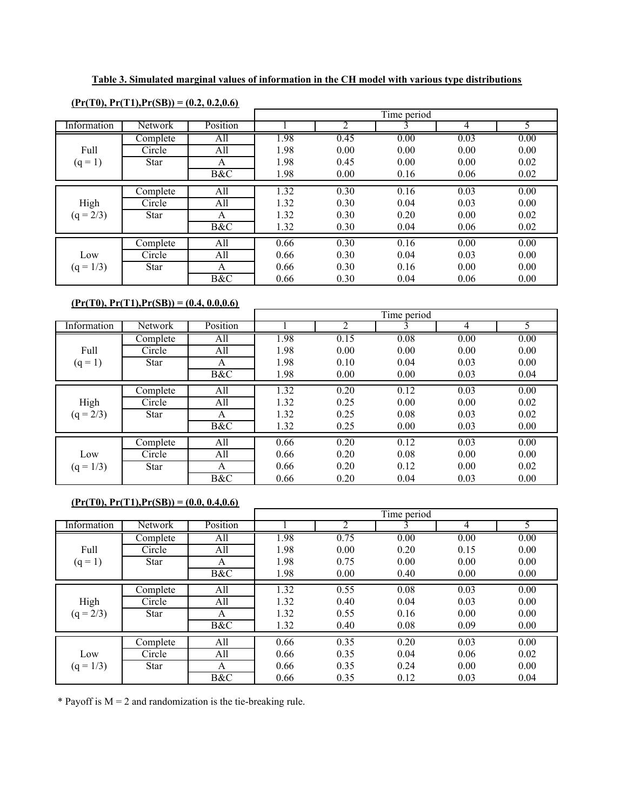| Table 3. Simulated marginal values of information in the CH model with various type distributions |
|---------------------------------------------------------------------------------------------------|
|---------------------------------------------------------------------------------------------------|

|             |             |          |      |      | Time period |      |      |
|-------------|-------------|----------|------|------|-------------|------|------|
| Information | Network     | Position |      |      |             | 4    |      |
|             | Complete    | All      | .98  | 0.45 | 0.00        | 0.03 | 0.00 |
| Full        | Circle      | All      | 1.98 | 0.00 | 0.00        | 0.00 | 0.00 |
| $(q = 1)$   | <b>Star</b> | A        | 1.98 | 0.45 | 0.00        | 0.00 | 0.02 |
|             |             | B&C      | 1.98 | 0.00 | 0.16        | 0.06 | 0.02 |
|             | Complete    | All      | 1.32 | 0.30 | 0.16        | 0.03 | 0.00 |
| High        | Circle      | All      | 1.32 | 0.30 | 0.04        | 0.03 | 0.00 |
| $(q = 2/3)$ | <b>Star</b> | A        | 1.32 | 0.30 | 0.20        | 0.00 | 0.02 |
|             |             | B&C      | 1.32 | 0.30 | 0.04        | 0.06 | 0.02 |
|             | Complete    | All      | 0.66 | 0.30 | 0.16        | 0.00 | 0.00 |
| Low         | Circle      | All      | 0.66 | 0.30 | 0.04        | 0.03 | 0.00 |
| $(q = 1/3)$ | <b>Star</b> | A        | 0.66 | 0.30 | 0.16        | 0.00 | 0.00 |
|             |             | B&C      | 0.66 | 0.30 | 0.04        | 0.06 | 0.00 |

### $(Pr(T0), Pr(T1), Pr(SB)) = (0.2, 0.2, 0.6)$

### **(Pr(T0), Pr(T1),Pr(SB)) = (0.4, 0.0,0.6)**

|             |             |          |      |      | Time period |      |      |
|-------------|-------------|----------|------|------|-------------|------|------|
| Information | Network     | Position |      |      |             | 4    |      |
|             | Complete    | All      | 1.98 | 0.15 | 0.08        | 0.00 | 0.00 |
| Full        | Circle      | All      | 1.98 | 0.00 | 0.00        | 0.00 | 0.00 |
| $(q = 1)$   | <b>Star</b> | A        | 1.98 | 0.10 | 0.04        | 0.03 | 0.00 |
|             |             | B&C      | 1.98 | 0.00 | 0.00        | 0.03 | 0.04 |
|             | Complete    | All      | 1.32 | 0.20 | 0.12        | 0.03 | 0.00 |
| High        | Circle      | All      | 1.32 | 0.25 | 0.00        | 0.00 | 0.02 |
| $(q = 2/3)$ | <b>Star</b> | A        | 1.32 | 0.25 | 0.08        | 0.03 | 0.02 |
|             |             | B&C      | 1.32 | 0.25 | 0.00        | 0.03 | 0.00 |
|             | Complete    | All      | 0.66 | 0.20 | 0.12        | 0.03 | 0.00 |
| Low         | Circle      | All      | 0.66 | 0.20 | 0.08        | 0.00 | 0.00 |
| $(q = 1/3)$ | <b>Star</b> | A        | 0.66 | 0.20 | 0.12        | 0.00 | 0.02 |
|             |             | B&C      | 0.66 | 0.20 | 0.04        | 0.03 | 0.00 |

### **(Pr(T0), Pr(T1),Pr(SB)) = (0.0, 0.4,0.6)**

|             |             |          |      |      | Time period |      |      |
|-------------|-------------|----------|------|------|-------------|------|------|
| Information | Network     | Position |      | ∍    |             | 4    |      |
|             | Complete    | All      | l.98 | 0.75 | 0.00        | 0.00 | 0.00 |
| Full        | Circle      | All      | 1.98 | 0.00 | 0.20        | 0.15 | 0.00 |
| $(q = 1)$   | <b>Star</b> | A        | 1.98 | 0.75 | 0.00        | 0.00 | 0.00 |
|             |             | B&C      | 1.98 | 0.00 | 0.40        | 0.00 | 0.00 |
|             | Complete    | All      | 1.32 | 0.55 | 0.08        | 0.03 | 0.00 |
| High        | Circle      | All      | 1.32 | 0.40 | 0.04        | 0.03 | 0.00 |
| $(q = 2/3)$ | <b>Star</b> | A        | 1.32 | 0.55 | 0.16        | 0.00 | 0.00 |
|             |             | B&C      | 1.32 | 0.40 | 0.08        | 0.09 | 0.00 |
|             | Complete    | All      | 0.66 | 0.35 | 0.20        | 0.03 | 0.00 |
| Low         | Circle      | All      | 0.66 | 0.35 | 0.04        | 0.06 | 0.02 |
| $(q = 1/3)$ | <b>Star</b> | A        | 0.66 | 0.35 | 0.24        | 0.00 | 0.00 |
|             |             | B&C      | 0.66 | 0.35 | 0.12        | 0.03 | 0.04 |

\* Payoff is  $M = 2$  and randomization is the tie-breaking rule.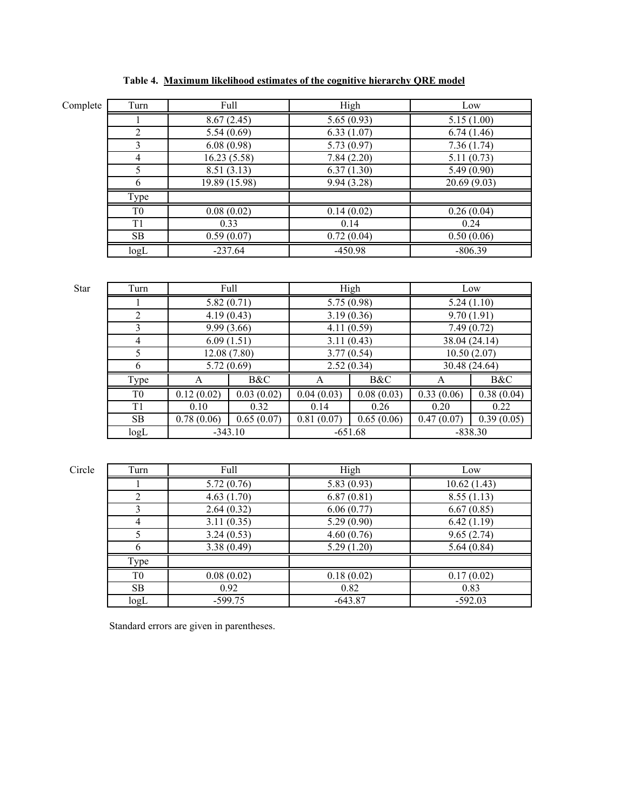| Complete | Turn           | Full          | High       | Low         |
|----------|----------------|---------------|------------|-------------|
|          |                | 8.67(2.45)    | 5.65(0.93) | 5.15(1.00)  |
|          | $\overline{2}$ | 5.54(0.69)    | 6.33(1.07) | 6.74(1.46)  |
|          | 3              | 6.08(0.98)    | 5.73(0.97) | 7.36(1.74)  |
|          | 4              | 16.23(5.58)   | 7.84(2.20) | 5.11(0.73)  |
|          | 5              | 8.51(3.13)    | 6.37(1.30) | 5.49(0.90)  |
|          | 6              | 19.89 (15.98) | 9.94(3.28) | 20.69(9.03) |
|          | Type           |               |            |             |
|          | T <sub>0</sub> | 0.08(0.02)    | 0.14(0.02) | 0.26(0.04)  |
|          | T1             | 0.33          | 0.14       | 0.24        |
|          | SB             | 0.59(0.07)    | 0.72(0.04) | 0.50(0.06)  |
|          | logL           | $-237.64$     | $-450.98$  | $-806.39$   |

| Table 4. Maximum likelihood estimates of the cognitive hierarchy QRE model |  |  |  |  |
|----------------------------------------------------------------------------|--|--|--|--|
|                                                                            |  |  |  |  |

Star

| Turn           |            | Full         |            | High       |            | Low           |
|----------------|------------|--------------|------------|------------|------------|---------------|
|                | 5.82(0.71) |              |            | 5.75(0.98) |            | 5.24(1.10)    |
| $\mathfrak{D}$ | 4.19(0.43) |              |            | 3.19(0.36) | 9.70(1.91) |               |
| 3              | 9.99(3.66) |              |            | 4.11(0.59) |            | 7.49(0.72)    |
| $\overline{4}$ | 6.09(1.51) |              |            | 3.11(0.43) |            | 38.04 (24.14) |
| 5              |            | 12.08 (7.80) |            | 3.77(0.54) |            | 10.50(2.07)   |
| $\mathfrak b$  |            | 5.72(0.69)   |            | 2.52(0.34) |            | 30.48 (24.64) |
| Type           |            | B&C          | A          | B&C        | A          | B&C           |
| T <sub>0</sub> | 0.12(0.02) | 0.03(0.02)   | 0.04(0.03) | 0.08(0.03) | 0.33(0.06) | 0.38(0.04)    |
| T1             | 0.10       | 0.32         | 0.14       | 0.26       | 0.20       | 0.22          |
| <b>SB</b>      | 0.78(0.06) | 0.65(0.07)   | 0.81(0.07) | 0.65(0.06) | 0.47(0.07) | 0.39(0.05)    |
| logL           |            | $-343.10$    |            | $-651.68$  |            | $-838.30$     |

Circle

| Turn           | Full       | High       | Low         |
|----------------|------------|------------|-------------|
|                | 5.72(0.76) | 5.83(0.93) | 10.62(1.43) |
| $\mathcal{L}$  | 4.63(1.70) | 6.87(0.81) | 8.55(1.13)  |
|                | 2.64(0.32) | 6.06(0.77) | 6.67(0.85)  |
|                | 3.11(0.35) | 5.29(0.90) | 6.42(1.19)  |
|                | 3.24(0.53) | 4.60(0.76) | 9.65(2.74)  |
|                | 3.38(0.49) | 5.29(1.20) | 5.64(0.84)  |
| Type           |            |            |             |
| T <sub>0</sub> | 0.08(0.02) | 0.18(0.02) | 0.17(0.02)  |
| <b>SB</b>      | 0.92       | 0.82       | 0.83        |
| logL           | $-599.75$  | $-643.87$  | $-592.03$   |

Standard errors are given in parentheses.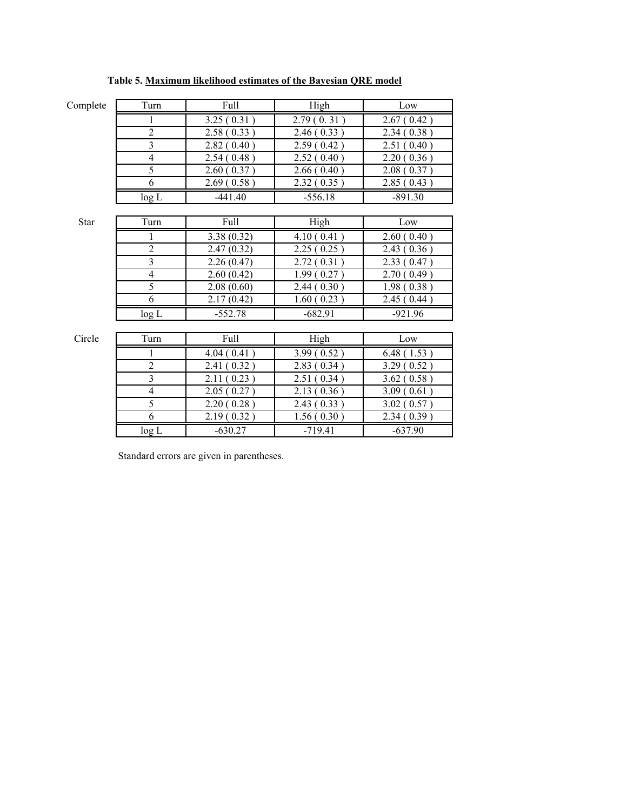| Complete | Turn                    | Full        | High       | Low                        |
|----------|-------------------------|-------------|------------|----------------------------|
|          | 1                       | 3.25(0.31)  | 2.79(0.31) | 2.67(0.42)                 |
|          | $\overline{2}$          | 2.58 (0.33) | 2.46(0.33) | 2.34(0.38)                 |
|          | $\overline{\mathbf{3}}$ | 2.82(0.40)  | 2.59(0.42) | 0.40)<br>2.51 <sub>0</sub> |
|          | $\overline{4}$          | 2.54(0.48)  | 2.52(0.40) | 2.20(0.36)                 |
|          | 5                       | 2.60(0.37)  | 2.66(0.40) | 2.08(0.37)                 |
|          | $\overline{6}$          | 2.69(0.58)  | 2.32(0.35) | 2.85(0.43)                 |
|          | log L                   | $-441.40$   | $-556.18$  | $-891.30$                  |
|          |                         |             |            |                            |
| Star     | Turn                    | Full        | High       | Low                        |
|          | 1                       | 3.38(0.32)  | 4.10(0.41) | 2.60(0.40)                 |
|          | $\overline{2}$          | 2.47(0.32)  | 2.25(0.25) | 2.43(0.36)                 |
|          | $\overline{\mathbf{3}}$ | 2.26(0.47)  | 2.72(0.31) | 2.33(0.47)                 |
|          | $\overline{4}$          | 2.60(0.42)  | 1.99(0.27) | 2.70(0.49)                 |
|          | 5                       | 2.08(0.60)  | 2.44(0.30) | 1.98(0.38)                 |
|          | 6                       | 2.17(0.42)  | 1.60(0.23) | 2.45(0.44)                 |
|          | log L                   | $-552.78$   | $-682.91$  | $-921.96$                  |
|          |                         |             |            |                            |
| Circle   | Turn                    | Full        | High       | Low                        |
|          | 1                       | 4.04(0.41)  | 3.99(0.52) | 6.48(1.53)                 |
|          | $\overline{2}$          | 2.41(0.32)  | 2.83(0.34) | 3.29 <sub>0</sub><br>0.52) |
|          | $\overline{3}$          | 2.11(0.23)  | 2.51(0.34) | 0.58)<br>3.62              |
|          | $\overline{4}$          | 2.05(0.27)  | 2.13(0.36) | 3.09(0.61)                 |
|          | 5                       | 2.20(0.28)  | 2.43(0.33) | 3.02(0.57)                 |
|          | $\overline{6}$          | 2.19(0.32)  | 1.56(0.30) | 2.34(0.39)                 |
|          | log L                   | $-630.27$   | $-719.41$  | $-637.90$                  |

**Table 5. Maximum likelihood estimates of the Bayesian QRE model**

Standard errors are given in parentheses.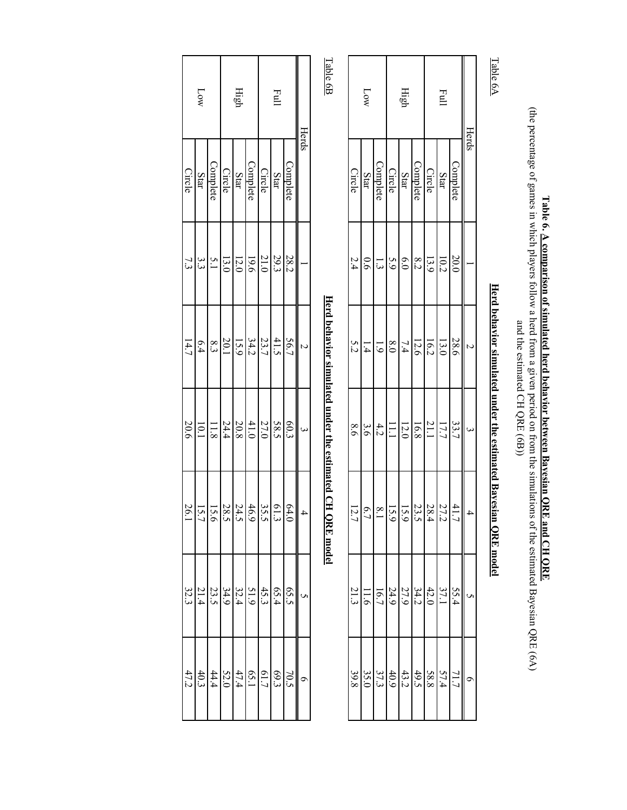| יינדים<br>ercentage of the sixth planks is proper and the sixth point of the simulations of the estimations of the estimate |                                                                                  |
|-----------------------------------------------------------------------------------------------------------------------------|----------------------------------------------------------------------------------|
|                                                                                                                             |                                                                                  |
|                                                                                                                             |                                                                                  |
|                                                                                                                             |                                                                                  |
|                                                                                                                             |                                                                                  |
|                                                                                                                             |                                                                                  |
|                                                                                                                             |                                                                                  |
|                                                                                                                             |                                                                                  |
|                                                                                                                             |                                                                                  |
|                                                                                                                             |                                                                                  |
|                                                                                                                             |                                                                                  |
|                                                                                                                             |                                                                                  |
|                                                                                                                             |                                                                                  |
|                                                                                                                             |                                                                                  |
|                                                                                                                             |                                                                                  |
|                                                                                                                             |                                                                                  |
|                                                                                                                             |                                                                                  |
|                                                                                                                             |                                                                                  |
|                                                                                                                             |                                                                                  |
|                                                                                                                             |                                                                                  |
|                                                                                                                             |                                                                                  |
|                                                                                                                             | Table 6. A comparison of simulated herd behavior between Bayesian QRE and CH QRE |
|                                                                                                                             |                                                                                  |

(the percentage of games in which players follow a herd from a given period on from the simulations of the estimated Bayesian QRE (6A)  $\mathbf{q}$ Ó  $\sim$   $I$ . and the estimated CH QRE (6B)) and the estimated CH QRE (6B)) $\stackrel{\simeq}{=}$ <br>Bayesian QRE (6A)

Table 6A

## Herd behavior simulated under the estimated Bayesian ORE model **Herd behavior simulated under the estimated Bayesian QRE model**

|     | Low |                                                                                                                                                                                                                                                                                                                                                                                                                                                               | High |  | Eull |                                                                                                                                                                                                                                                                                                                                                                                          |       |
|-----|-----|---------------------------------------------------------------------------------------------------------------------------------------------------------------------------------------------------------------------------------------------------------------------------------------------------------------------------------------------------------------------------------------------------------------------------------------------------------------|------|--|------|------------------------------------------------------------------------------------------------------------------------------------------------------------------------------------------------------------------------------------------------------------------------------------------------------------------------------------------------------------------------------------------|-------|
|     |     | $\frac{\text{Complete}}{\text{Complete}}$ $\frac{\text{State}}{\text{Complete}}$ $\frac{\text{State}}{\text{Complete}}$ $\frac{\text{State}}{\text{Circle}}$                                                                                                                                                                                                                                                                                                  |      |  |      |                                                                                                                                                                                                                                                                                                                                                                                          | Herds |
| 2.4 |     | $\begin{array}{l} \frac{\mathbb{S}[2]}{\mathbb{S}[3]} \frac{\mathbb{S}[8]}{\mathbb{S}[3]} \frac{\mathbb{S}[8]}{\mathbb{S}[6]} \frac{\mathbb{S}[1]}{\mathbb{S}[6]} \frac{1}{\mathbb{S}[6]} \end{array}$                                                                                                                                                                                                                                                        |      |  |      |                                                                                                                                                                                                                                                                                                                                                                                          |       |
| 5.2 |     |                                                                                                                                                                                                                                                                                                                                                                                                                                                               |      |  |      | $\frac{\frac{386}{1380}}{\frac{13}{130}}\frac{\frac{126}{136}}{\frac{126}{134}}\frac{\frac{128}{136}}{\frac{128}{13}}\frac{\frac{128}{13}}{\frac{114}{14}}$                                                                                                                                                                                                                              |       |
|     |     | $\frac{\frac{1}{2} \cdot \frac{1}{2} \cdot \frac{1}{2} \cdot \frac{1}{2} \cdot \frac{1}{2} \cdot \frac{1}{2} \cdot \frac{1}{2} \cdot \frac{1}{2} \cdot \frac{1}{2} \cdot \frac{1}{2} \cdot \frac{1}{2} \cdot \frac{1}{2} \cdot \frac{1}{2} \cdot \frac{1}{2} \cdot \frac{1}{2} \cdot \frac{1}{2} \cdot \frac{1}{2} \cdot \frac{1}{2} \cdot \frac{1}{2} \cdot \frac{1}{2} \cdot \frac{1}{2} \cdot \frac{1}{2} \cdot \frac{1}{2} \cdot \frac{1}{2} \cdot \frac$ |      |  |      | $\frac{33.7}{2}$                                                                                                                                                                                                                                                                                                                                                                         |       |
| 12. |     | $\frac{4}{12} \frac{\sum_{i=1}^{n} \left \frac{c_i}{c_i}\right }{\sum_{i=1}^{n} \left \frac{c_i}{c_i}\right } \frac{\sum_{i=1}^{n} \left \frac{c_i}{c_i}\right }{\sum_{i=1}^{n} \left \frac{c_i}{c_i}\right }$                                                                                                                                                                                                                                                |      |  |      |                                                                                                                                                                                                                                                                                                                                                                                          |       |
|     |     |                                                                                                                                                                                                                                                                                                                                                                                                                                                               |      |  |      | $\frac{1}{2} \sum_{i=1}^{3} \frac{1}{2} \frac{1}{2} \frac{1}{2} \frac{1}{2} \frac{1}{2} \frac{1}{2} \frac{1}{2} \frac{1}{2} \frac{1}{2} \frac{1}{2} \frac{1}{2} \frac{1}{2} \frac{1}{2} \frac{1}{2} \frac{1}{2} \frac{1}{2} \frac{1}{2} \frac{1}{2} \frac{1}{2} \frac{1}{2} \frac{1}{2} \frac{1}{2} \frac{1}{2} \frac{1}{2} \frac{1}{2} \frac{1}{2} \frac{1}{2} \frac{1}{2} \frac{1}{2}$ |       |
|     |     |                                                                                                                                                                                                                                                                                                                                                                                                                                                               |      |  |      | $\frac{1}{2}\frac{\sum\limits_{i=1}^{N} \sum\limits_{i=1}^{N} \mathcal{S}(x_i)}{x_i^2 + x_i^2} \approx \frac{1}{2}\frac{1}{2}\frac{1}{2}\frac{1}{2}\frac{1}{2}\frac{1}{2}\frac{1}{2}\frac{1}{2}\frac{1}{2}}{\sum\limits_{i=1}^{N} \mathcal{S}(x_i)}$                                                                                                                                     |       |

Table 6B

### Herd behavior simulated under the estimated CH ORE model **Herd behavior simulated under the estimated CH QRE model**

|      | Herds              |                                  |                                                                               |                                                                   |                 |                                                                                                                                                        |                                                                                                                                                      |
|------|--------------------|----------------------------------|-------------------------------------------------------------------------------|-------------------------------------------------------------------|-----------------|--------------------------------------------------------------------------------------------------------------------------------------------------------|------------------------------------------------------------------------------------------------------------------------------------------------------|
|      | Complete           | 28.2                             | 56.7                                                                          | 60.3                                                              | 64.             |                                                                                                                                                        | 70.5                                                                                                                                                 |
| Full | Star               | 29.3                             | 41.5                                                                          | 58.5                                                              | 61.             |                                                                                                                                                        |                                                                                                                                                      |
|      |                    |                                  |                                                                               |                                                                   |                 |                                                                                                                                                        |                                                                                                                                                      |
|      | Circle<br>Complete |                                  |                                                                               |                                                                   |                 |                                                                                                                                                        |                                                                                                                                                      |
| High | <b>Star</b>        | $\frac{21.0}{\frac{19.6}{12.0}}$ | $\begin{array}{c c}\n 23.7 \\  \hline\n 15.9 \\  \hline\n 20.1\n \end{array}$ | $\frac{27.0}{\frac{41.0}{11.8}}$ $\frac{24.4}{\frac{24.4}{11.8}}$ | $\frac{35}{46}$ | $\frac{65}{21}$ $\frac{65}{4}$ $\frac{1}{21}$ $\frac{1}{21}$ $\frac{1}{21}$ $\frac{1}{21}$ $\frac{1}{21}$ $\frac{1}{21}$ $\frac{1}{21}$ $\frac{1}{21}$ | $\frac{\frac{60!}{6!}}{\frac{6!}{1!}}\frac{\frac{47!}{1!}}{\frac{47!}{1!}}\frac{1}{1!}\frac{1}{1!}\frac{4}{1!}\frac{1}{1!}\frac{4}{1!}\frac{4}{1!}}$ |
|      | Circle<br>Complete | 13.0                             |                                                                               |                                                                   |                 |                                                                                                                                                        |                                                                                                                                                      |
|      |                    | 5.1                              | 8.3                                                                           |                                                                   | $rac{28}{15}$   |                                                                                                                                                        |                                                                                                                                                      |
| Low  | Star               | 3.3                              | 6.4                                                                           | 10.1                                                              | 15              |                                                                                                                                                        |                                                                                                                                                      |
|      | $\rm Circle$ le    | 73                               | 14.7                                                                          | 20.6                                                              | 26.             |                                                                                                                                                        |                                                                                                                                                      |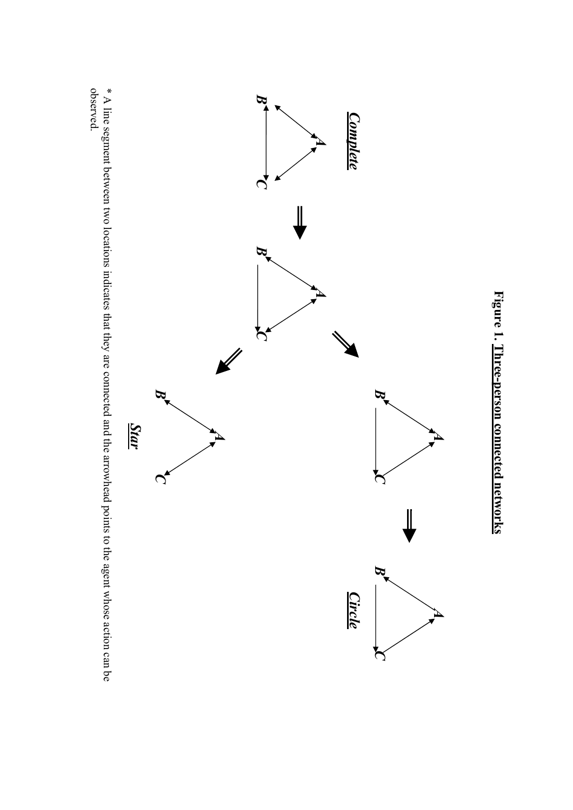



Figure 1. Three-person connected networks **Figure 1. Three-person connected networks**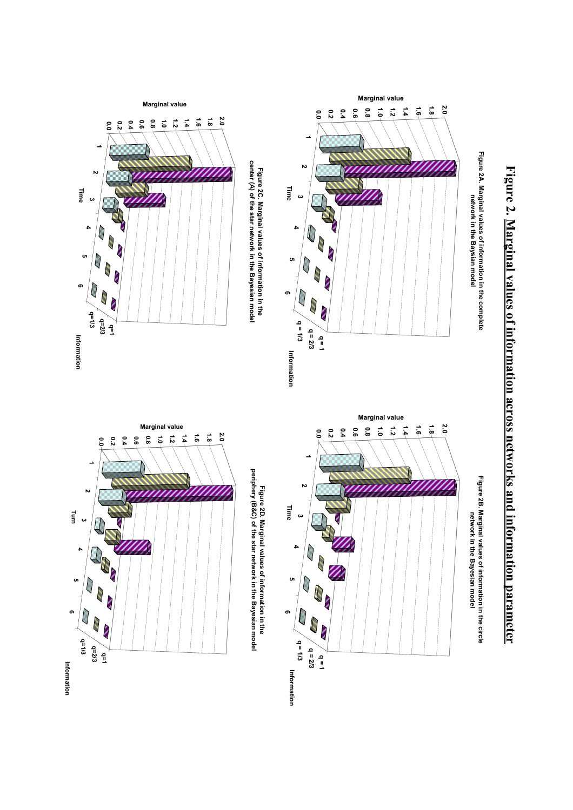

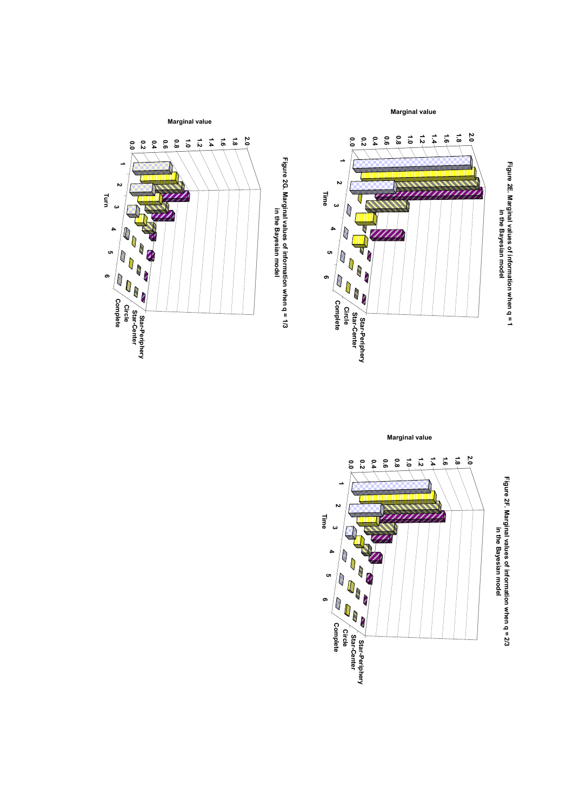**Marginal value**

**1.2 1.4 1.6 1.8 2.0**

mmm

**Figure 2E. Marginal values of information when q = 1 in the Bayesian model**

Figure 2E. Marginal values of information when q = 1<br>Figure 2E. Marginal values of information when q = 1





**Marginal value**



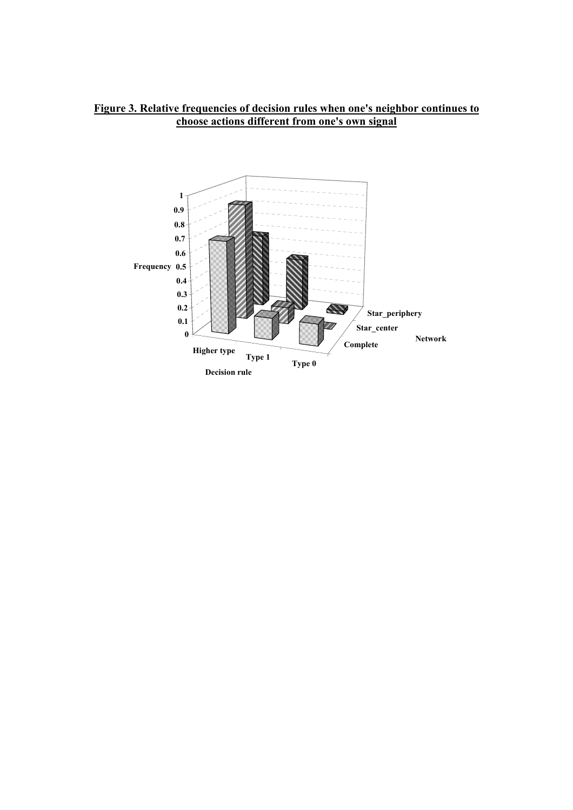### Figure 3. Relative frequencies of decision rules when one's neighbor continues to **choose actions different from one's own signal**

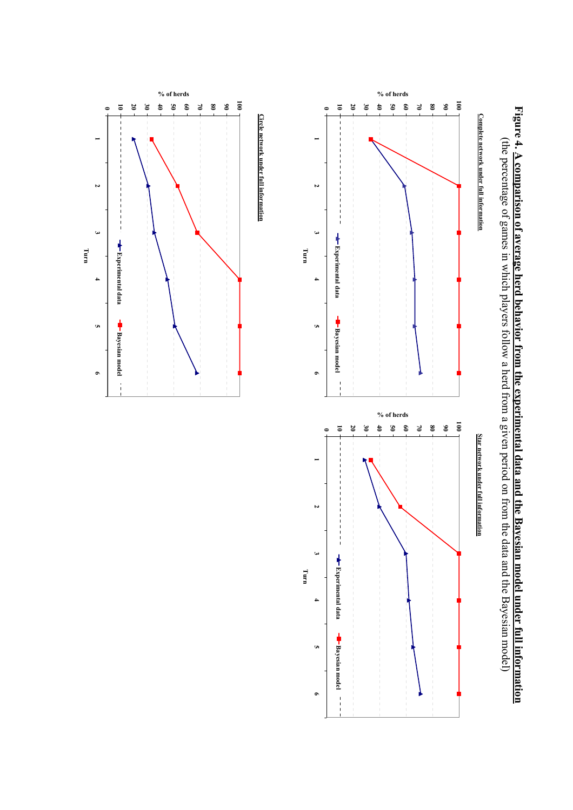





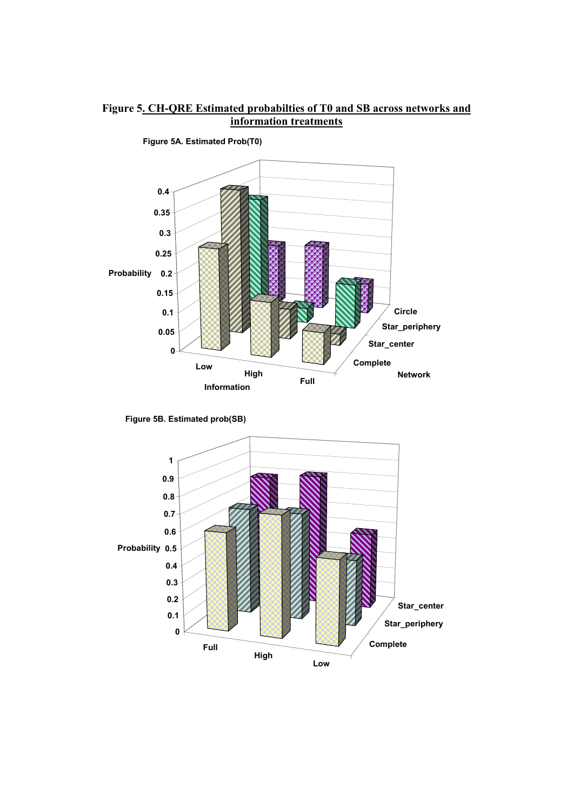### **Figure 5. CH-QRE Estimated probabilties of T0 and SB across networks and information treatments**



**Figure 5A. Estimated Prob(T0)**

**Figure 5B. Estimated prob(SB)**

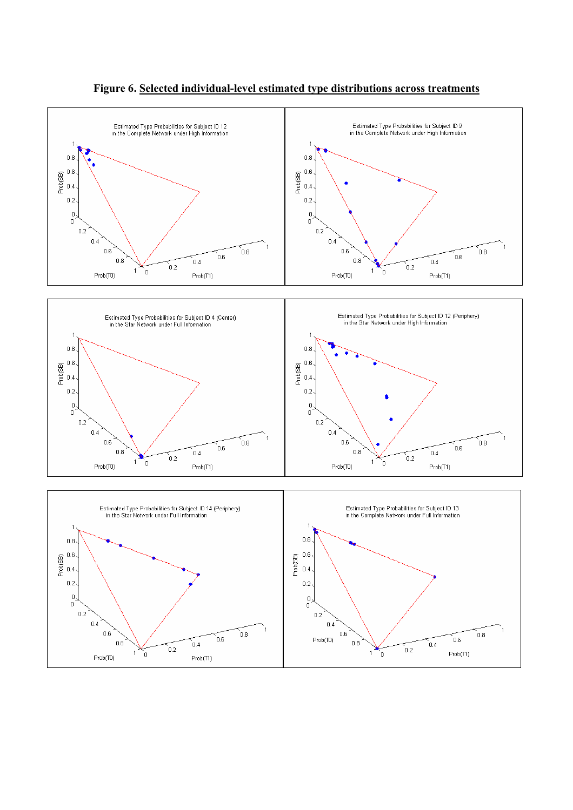

 $0.2$ 

 $0.8$ 

ົ0.6

 $0.4$ 

Prob(T1)

 $\degree$ 0.2

 $0.4$ 

Prob(T0)

 $0.6$ 

 $0.8\,$ 

 $\overline{\phantom{a}}_{0}^{\ast}$ 

 $\mathbf 1$ 

 $0.8$ 

0.6

 $Prob(T1)$ 

 $0.4$ 

 $\epsilon$ <sub>0.2</sub>

 $0.2$ 

 $0.4$ 

 $0.6$ 

 $Prob(T0)$ 

 $0.8$ 

₩  $\overline{1}$ 

**Figure 6. Selected individual-level estimated type distributions across treatments**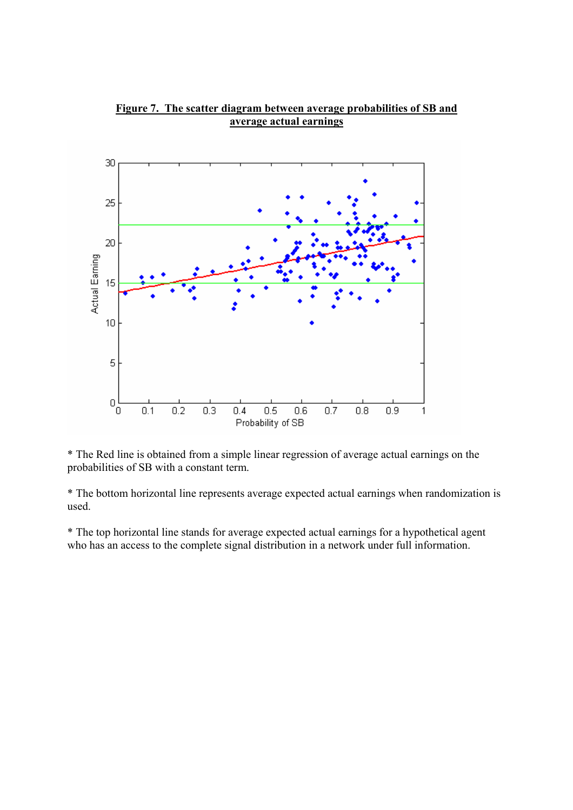

**Figure 7. The scatter diagram between average probabilities of SB and average actual earnings**

\* The Red line is obtained from a simple linear regression of average actual earnings on the probabilities of SB with a constant term.

\* The bottom horizontal line represents average expected actual earnings when randomization is used.

\* The top horizontal line stands for average expected actual earnings for a hypothetical agent who has an access to the complete signal distribution in a network under full information.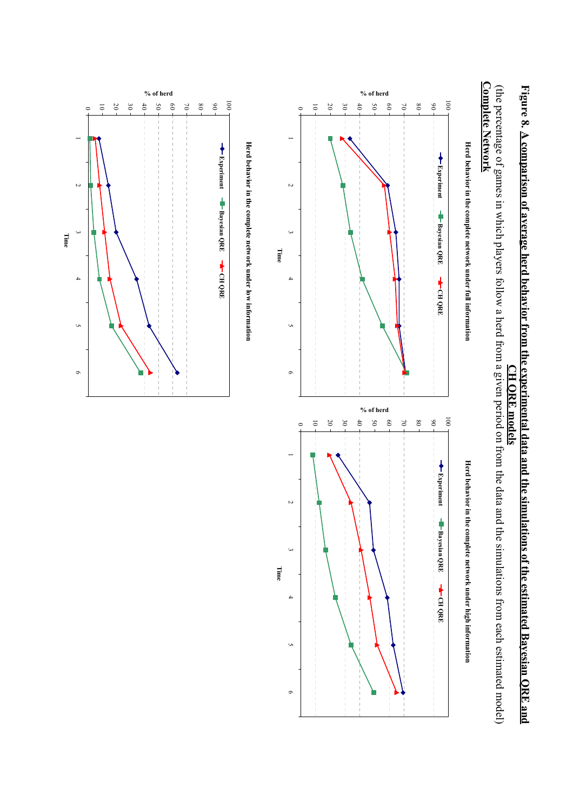## Figure 8. <u>A comparison of average herd behavior from the experimental data and the simulations of the estimated Bayesian QRE and</u> **Figure 8. A comparison of average herd behavior from the experimental data and the simulations of the estimated Bayesian QRE and CH QRE models**

rigure o. <u>A comparison of average neru penavior trom the expertmental data and the simulations of the estimated bayesian OKE and<br>(the percentage of games in which players follow a herd from a given period on from the data</u> **Complete Network** (the percentage of games in which players follow a herd from a given period on from the data and the simulations from each estimated model)





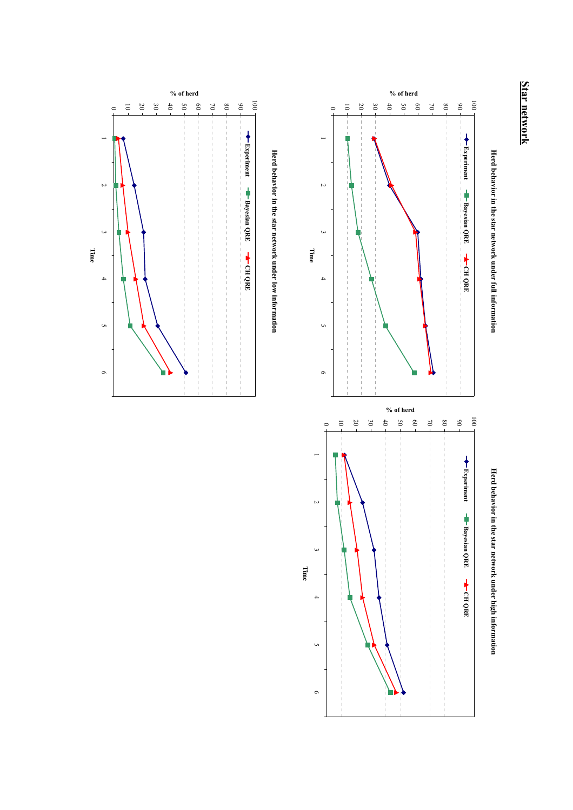**Star network Star network**



Herd behavior in the star network under full information **Herd behavior in the star network under full information**

Herd behavior in the star network under low information **Herd behavior in the star network under low information**

 $\circ$  $\overline{\text{o}}$ 20 30

۴

 $\overline{a}$ 

 $\overline{a}$ 

1<br>2<br>3<br>4<br>4<br>4<br>3 **Time** 

 $\overline{4}$ 

 $\mathcal{L}$ 

 $\circ$ 

 $\omega$ 

 $\circ$ 10 20 30

 $\overline{a}$ 

 $\overline{a}$ 

1<br>2<br>3<br>4<br>4<br>4<br>3 **Time**

 $\overline{4}$ 

 $\circ$ 

 $\circ$ 

 $\overline{\mathbf{c}}$